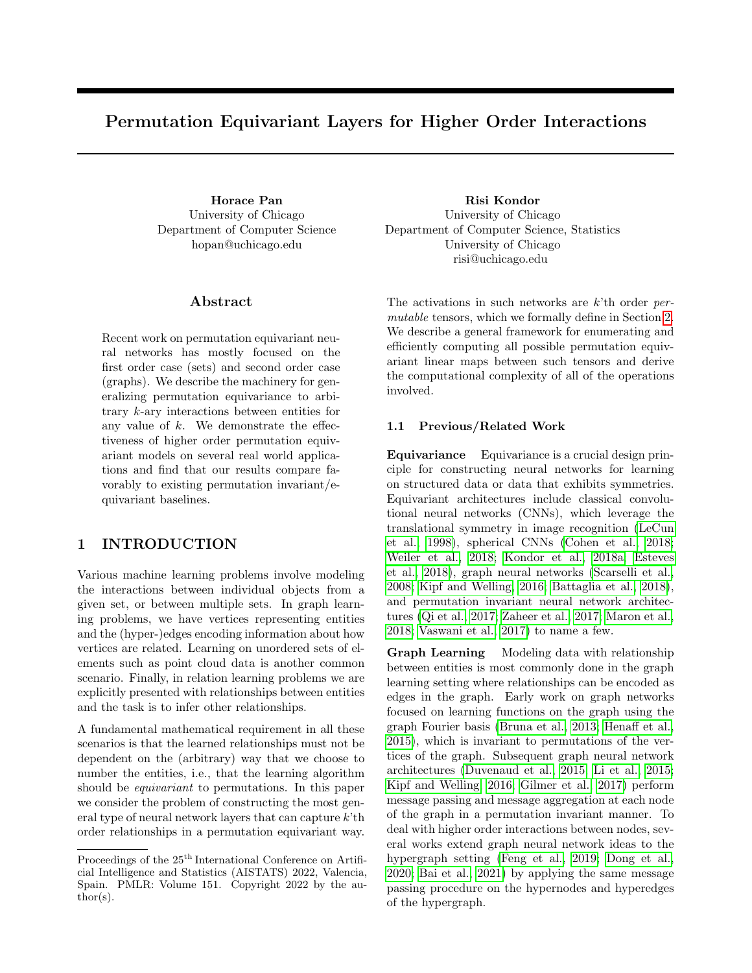# Permutation Equivariant Layers for Higher Order Interactions

University of Chicago Department of Computer Science hopan@uchicago.edu

## ${\rm Abstract}$

Recent work on permutation equivariant neural networks has mostly focused on the first order case (sets) and second order case (graphs). We describe the machinery for generalizing permutation equivariance to arbitrary k-ary interactions between entities for any value of  $k$ . We demonstrate the effectiveness of higher order permutation equivariant models on several real world applications and find that our results compare favorably to existing permutation invariant/equivariant baselines.

# 1 INTRODUCTION

Various machine learning problems involve modeling the interactions between individual objects from a given set, or between multiple sets. In graph learning problems, we have vertices representing entities and the (hyper-)edges encoding information about how vertices are related. Learning on unordered sets of elements such as point cloud data is another common scenario. Finally, in relation learning problems we are explicitly presented with relationships between entities and the task is to infer other relationships.

A fundamental mathematical requirement in all these scenarios is that the learned relationships must not be dependent on the (arbitrary) way that we choose to number the entities, i.e., that the learning algorithm should be *equivariant* to permutations. In this paper we consider the problem of constructing the most general type of neural network layers that can capture  $k<sup>2</sup>$ th order relationships in a permutation equivariant way.

Horace Pan Risi Kondor University of Chicago Department of Computer Science, Statistics University of Chicago risi@uchicago.edu

> The activations in such networks are k'th order permutable tensors, which we formally define in Section [2.](#page-1-0) We describe a general framework for enumerating and efficiently computing all possible permutation equivariant linear maps between such tensors and derive the computational complexity of all of the operations involved.

### 1.1 Previous/Related Work

Equivariance Equivariance is a crucial design principle for constructing neural networks for learning on structured data or data that exhibits symmetries. Equivariant architectures include classical convolutional neural networks (CNNs), which leverage the translational symmetry in image recognition [\(LeCun](#page-9-0) [et al., 1998\)](#page-9-0), spherical CNNs [\(Cohen et al., 2018;](#page-8-0) [Weiler et al., 2018;](#page-10-0) [Kondor et al., 2018a;](#page-9-1) [Esteves](#page-9-2) [et al., 2018\)](#page-9-2), graph neural networks [\(Scarselli et al.,](#page-10-1) [2008;](#page-10-1) [Kipf and Welling, 2016;](#page-9-3) [Battaglia et al., 2018\)](#page-8-1), and permutation invariant neural network architectures [\(Qi et al., 2017;](#page-10-2) [Zaheer et al., 2017;](#page-10-3) [Maron et al.,](#page-10-4) [2018;](#page-10-4) [Vaswani et al., 2017\)](#page-10-5) to name a few.

Graph Learning Modeling data with relationship between entities is most commonly done in the graph learning setting where relationships can be encoded as edges in the graph. Early work on graph networks focused on learning functions on the graph using the graph Fourier basis [\(Bruna et al., 2013;](#page-8-2) [Henaff et al.,](#page-9-4) [2015\)](#page-9-4), which is invariant to permutations of the vertices of the graph. Subsequent graph neural network architectures [\(Duvenaud et al., 2015;](#page-9-5) [Li et al., 2015;](#page-9-6) [Kipf and Welling, 2016;](#page-9-3) [Gilmer et al., 2017\)](#page-9-7) perform message passing and message aggregation at each node of the graph in a permutation invariant manner. To deal with higher order interactions between nodes, several works extend graph neural network ideas to the hypergraph setting [\(Feng et al., 2019;](#page-9-8) [Dong et al.,](#page-9-9) [2020;](#page-9-9) [Bai et al., 2021\)](#page-8-3) by applying the same message passing procedure on the hypernodes and hyperedges of the hypergraph.

Proceedings of the  $25<sup>th</sup>$  International Conference on Artificial Intelligence and Statistics (AISTATS) 2022, Valencia, Spain. PMLR: Volume 151. Copyright 2022 by the au- $\text{thor}(s)$ .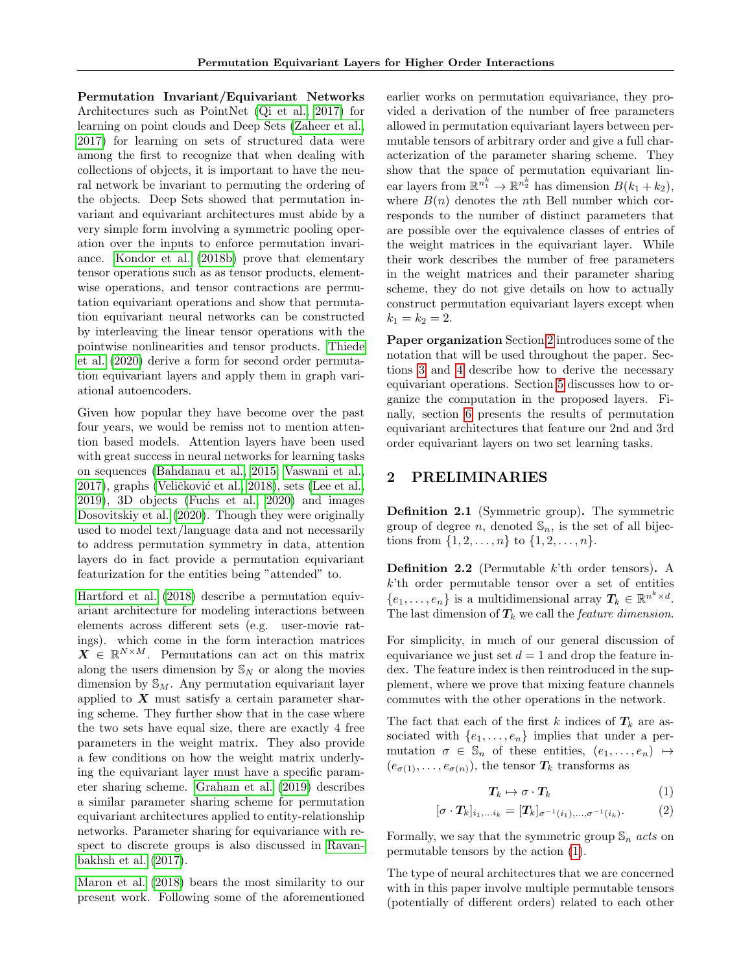Permutation Invariant/Equivariant Networks Architectures such as PointNet [\(Qi et al., 2017\)](#page-10-2) for learning on point clouds and Deep Sets [\(Zaheer et al.,](#page-10-3) [2017\)](#page-10-3) for learning on sets of structured data were among the first to recognize that when dealing with collections of objects, it is important to have the neural network be invariant to permuting the ordering of the objects. Deep Sets showed that permutation invariant and equivariant architectures must abide by a very simple form involving a symmetric pooling operation over the inputs to enforce permutation invariance. [Kondor et al.](#page-9-10) [\(2018b\)](#page-9-10) prove that elementary tensor operations such as as tensor products, elementwise operations, and tensor contractions are permutation equivariant operations and show that permutation equivariant neural networks can be constructed by interleaving the linear tensor operations with the pointwise nonlinearities and tensor products. [Thiede](#page-10-6) [et al.](#page-10-6) [\(2020\)](#page-10-6) derive a form for second order permutation equivariant layers and apply them in graph variational autoencoders.

Given how popular they have become over the past four years, we would be remiss not to mention attention based models. Attention layers have been used with great success in neural networks for learning tasks on sequences [\(Bahdanau et al., 2015;](#page-8-4) [Vaswani et al.,](#page-10-5) [2017\)](#page-10-5), graphs (Veličković et al., 2018), sets [\(Lee et al.,](#page-9-11) [2019\)](#page-9-11), 3D objects [\(Fuchs et al., 2020\)](#page-9-12) and images [Dosovitskiy et al.](#page-9-13) [\(2020\)](#page-9-13). Though they were originally used to model text/language data and not necessarily to address permutation symmetry in data, attention layers do in fact provide a permutation equivariant featurization for the entities being "attended" to.

[Hartford et al.](#page-9-14) [\(2018\)](#page-9-14) describe a permutation equivariant architecture for modeling interactions between elements across different sets (e.g. user-movie ratings). which come in the form interaction matrices  $\boldsymbol{X} \in \mathbb{R}^{N \times M}$ . Permutations can act on this matrix along the users dimension by  $\mathbb{S}_N$  or along the movies dimension by  $\mathbb{S}_M$ . Any permutation equivariant layer applied to  $X$  must satisfy a certain parameter sharing scheme. They further show that in the case where the two sets have equal size, there are exactly 4 free parameters in the weight matrix. They also provide a few conditions on how the weight matrix underlying the equivariant layer must have a specific parameter sharing scheme. [Graham et al.](#page-9-15) [\(2019\)](#page-9-15) describes a similar parameter sharing scheme for permutation equivariant architectures applied to entity-relationship networks. Parameter sharing for equivariance with respect to discrete groups is also discussed in [Ravan](#page-10-8)[bakhsh et al.](#page-10-8) [\(2017\)](#page-10-8).

[Maron et al.](#page-10-4) [\(2018\)](#page-10-4) bears the most similarity to our present work. Following some of the aforementioned earlier works on permutation equivariance, they provided a derivation of the number of free parameters allowed in permutation equivariant layers between permutable tensors of arbitrary order and give a full characterization of the parameter sharing scheme. They show that the space of permutation equivariant linear layers from  $\mathbb{R}^{n_1^k} \to \mathbb{R}^{n_2^k}$  has dimension  $B(k_1 + k_2)$ , where  $B(n)$  denotes the nth Bell number which corresponds to the number of distinct parameters that are possible over the equivalence classes of entries of the weight matrices in the equivariant layer. While their work describes the number of free parameters in the weight matrices and their parameter sharing scheme, they do not give details on how to actually construct permutation equivariant layers except when  $k_1 = k_2 = 2.$ 

Paper organization Section [2](#page-1-0) introduces some of the notation that will be used throughout the paper. Sections [3](#page-2-0) and [4](#page-3-0) describe how to derive the necessary equivariant operations. Section [5](#page-5-0) discusses how to organize the computation in the proposed layers. Finally, section [6](#page-7-0) presents the results of permutation equivariant architectures that feature our 2nd and 3rd order equivariant layers on two set learning tasks.

## <span id="page-1-0"></span>2 PRELIMINARIES

Definition 2.1 (Symmetric group). The symmetric group of degree n, denoted  $\mathbb{S}_n$ , is the set of all bijections from  $\{1, 2, ..., n\}$  to  $\{1, 2, ..., n\}$ .

**Definition 2.2** (Permutable  $k$ <sup>th</sup> order tensors). A  $k<sup>i</sup>$ th order permutable tensor over a set of entities  $\{e_1, \ldots, e_n\}$  is a multidimensional array  $T_k \in \mathbb{R}^{n^k \times d}$ . The last dimension of  $T_k$  we call the *feature dimension*.

For simplicity, in much of our general discussion of equivariance we just set  $d = 1$  and drop the feature index. The feature index is then reintroduced in the supplement, where we prove that mixing feature channels commutes with the other operations in the network.

The fact that each of the first k indices of  $T_k$  are associated with  $\{e_1, \ldots, e_n\}$  implies that under a permutation  $\sigma \in \mathbb{S}_n$  of these entities,  $(e_1, \ldots, e_n) \mapsto$  $(e_{\sigma(1)}, \ldots, e_{\sigma(n)})$ , the tensor  $T_k$  transforms as

<span id="page-1-1"></span>
$$
T_k \mapsto \sigma \cdot T_k \tag{1}
$$

$$
[\sigma \cdot \boldsymbol{T}_{k}]_{i_1,\ldots i_k} = [\boldsymbol{T}_{k}]_{\sigma^{-1}(i_1),\ldots,\sigma^{-1}(i_k)}.\tag{2}
$$

Formally, we say that the symmetric group  $\mathbb{S}_n$  acts on permutable tensors by the action [\(1\)](#page-1-1).

The type of neural architectures that we are concerned with in this paper involve multiple permutable tensors (potentially of different orders) related to each other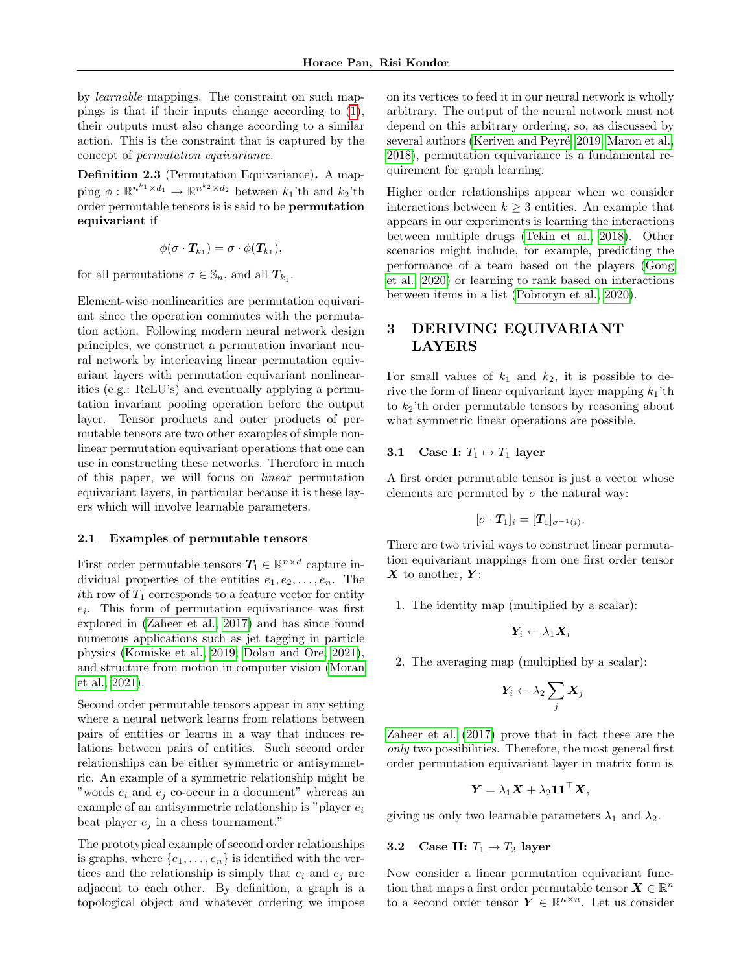by learnable mappings. The constraint on such mappings is that if their inputs change according to [\(1\)](#page-1-1), their outputs must also change according to a similar action. This is the constraint that is captured by the concept of permutation equivariance.

Definition 2.3 (Permutation Equivariance). A mapping  $\phi : \mathbb{R}^{n^{k_1} \times d_1} \to \mathbb{R}^{n^{k_2} \times d_2}$  between  $k_1$ 'th and  $k_2$ 'th order permutable tensors is is said to be permutation equivariant if

$$
\phi(\sigma\cdot\boldsymbol{T}_{k_1})=\sigma\cdot\phi(\boldsymbol{T}_{k_1}),
$$

for all permutations  $\sigma \in \mathbb{S}_n$ , and all  $T_{k_1}$ .

Element-wise nonlinearities are permutation equivariant since the operation commutes with the permutation action. Following modern neural network design principles, we construct a permutation invariant neural network by interleaving linear permutation equivariant layers with permutation equivariant nonlinearities (e.g.: ReLU's) and eventually applying a permutation invariant pooling operation before the output layer. Tensor products and outer products of permutable tensors are two other examples of simple nonlinear permutation equivariant operations that one can use in constructing these networks. Therefore in much of this paper, we will focus on linear permutation equivariant layers, in particular because it is these layers which will involve learnable parameters.

## 2.1 Examples of permutable tensors

First order permutable tensors  $T_1 \in \mathbb{R}^{n \times d}$  capture individual properties of the entities  $e_1, e_2, \ldots, e_n$ . The ith row of  $T_1$  corresponds to a feature vector for entity  $e_i$ . This form of permutation equivariance was first explored in [\(Zaheer et al., 2017\)](#page-10-3) and has since found numerous applications such as jet tagging in particle physics [\(Komiske et al., 2019;](#page-9-16) [Dolan and Ore, 2021\)](#page-9-17), and structure from motion in computer vision [\(Moran](#page-10-9) [et al., 2021\)](#page-10-9).

Second order permutable tensors appear in any setting where a neural network learns from relations between pairs of entities or learns in a way that induces relations between pairs of entities. Such second order relationships can be either symmetric or antisymmetric. An example of a symmetric relationship might be "words  $e_i$  and  $e_j$  co-occur in a document" whereas an example of an antisymmetric relationship is "player  $e_i$ beat player  $e_i$  in a chess tournament."

The prototypical example of second order relationships is graphs, where  $\{e_1, \ldots, e_n\}$  is identified with the vertices and the relationship is simply that  $e_i$  and  $e_j$  are adjacent to each other. By definition, a graph is a topological object and whatever ordering we impose on its vertices to feed it in our neural network is wholly arbitrary. The output of the neural network must not depend on this arbitrary ordering, so, as discussed by several authors (Keriven and Peyré, 2019; [Maron et al.,](#page-10-4) [2018\)](#page-10-4), permutation equivariance is a fundamental requirement for graph learning.

Higher order relationships appear when we consider interactions between  $k \geq 3$  entities. An example that appears in our experiments is learning the interactions between multiple drugs [\(Tekin et al., 2018\)](#page-10-10). Other scenarios might include, for example, predicting the performance of a team based on the players [\(Gong](#page-9-19) [et al., 2020\)](#page-9-19) or learning to rank based on interactions between items in a list [\(Pobrotyn et al., 2020\)](#page-10-11).

# <span id="page-2-0"></span>3 DERIVING EQUIVARIANT LAYERS

For small values of  $k_1$  and  $k_2$ , it is possible to derive the form of linear equivariant layer mapping  $k_1$ 'th to  $k_2$ 'th order permutable tensors by reasoning about what symmetric linear operations are possible.

## 3.1 Case I:  $T_1 \mapsto T_1$  layer

A first order permutable tensor is just a vector whose elements are permuted by  $\sigma$  the natural way:

$$
[\sigma\cdot \boldsymbol{T}_1]_i = [\boldsymbol{T}_1]_{\sigma^{-1}(i)}.
$$

There are two trivial ways to construct linear permutation equivariant mappings from one first order tensor  $X$  to another,  $Y$ :

1. The identity map (multiplied by a scalar):

$$
\pmb{Y}_i \leftarrow \lambda_1 \pmb{X}_i
$$

2. The averaging map (multiplied by a scalar):

$$
\pmb{Y}_i \leftarrow \lambda_2 \sum_j \pmb{X}_j
$$

[Zaheer et al.](#page-10-3) [\(2017\)](#page-10-3) prove that in fact these are the only two possibilities. Therefore, the most general first order permutation equivariant layer in matrix form is

$$
\boldsymbol{Y} = \lambda_1 \boldsymbol{X} + \lambda_2 \boldsymbol{1} \boldsymbol{1}^\top \boldsymbol{X},
$$

giving us only two learnable parameters  $\lambda_1$  and  $\lambda_2$ .

#### 3.2 Case II:  $T_1 \rightarrow T_2$  layer

Now consider a linear permutation equivariant function that maps a first order permutable tensor  $\boldsymbol{X} \in \mathbb{R}^n$ to a second order tensor  $\boldsymbol{Y} \in \mathbb{R}^{n \times n}$ . Let us consider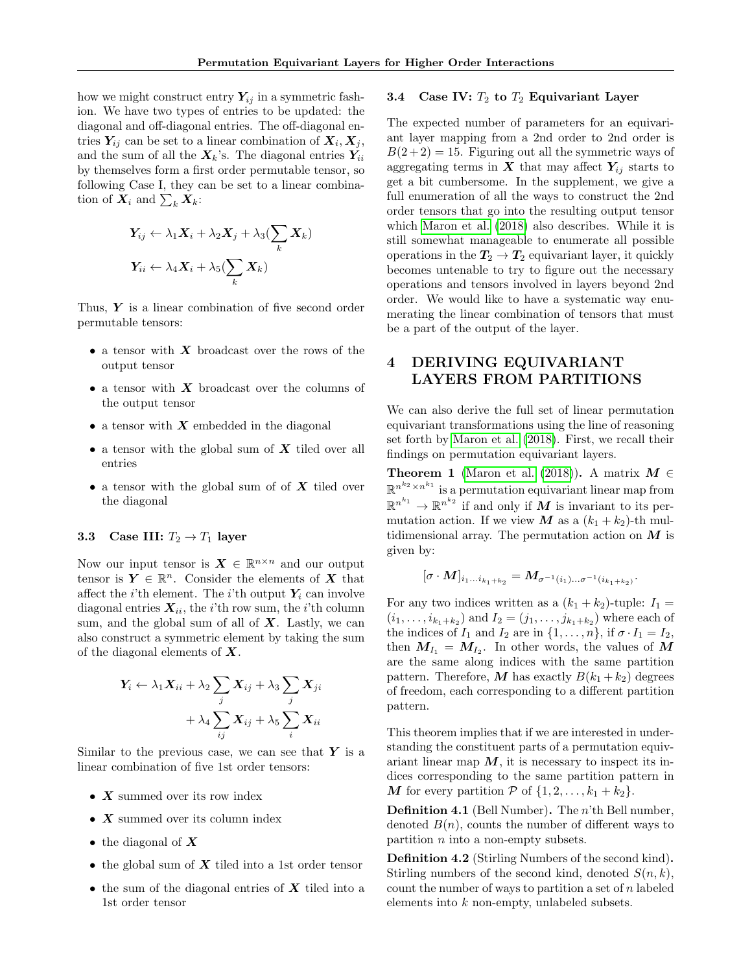how we might construct entry  $Y_{ij}$  in a symmetric fashion. We have two types of entries to be updated: the diagonal and off-diagonal entries. The off-diagonal entries  $Y_{ij}$  can be set to a linear combination of  $X_i, X_j$ , and the sum of all the  $X_k$ 's. The diagonal entries  $Y_{ii}$ by themselves form a first order permutable tensor, so following Case I, they can be set to a linear combination of  $\boldsymbol{X}_i$  and  $\sum_k \boldsymbol{X}_k$ :

$$
Y_{ij} \leftarrow \lambda_1 \mathbf{X}_i + \lambda_2 \mathbf{X}_j + \lambda_3 (\sum_k \mathbf{X}_k)
$$
  

$$
Y_{ii} \leftarrow \lambda_4 \mathbf{X}_i + \lambda_5 (\sum_k \mathbf{X}_k)
$$

Thus,  $\boldsymbol{Y}$  is a linear combination of five second order permutable tensors:

- $\bullet$  a tensor with  $X$  broadcast over the rows of the output tensor
- a tensor with  $X$  broadcast over the columns of the output tensor
- a tensor with  $X$  embedded in the diagonal
- a tensor with the global sum of  $X$  tiled over all entries
- a tensor with the global sum of of  $X$  tiled over the diagonal

## 3.3 Case III:  $T_2 \rightarrow T_1$  layer

Now our input tensor is  $\mathbf{X} \in \mathbb{R}^{n \times n}$  and our output tensor is  $Y \in \mathbb{R}^n$ . Consider the elements of X that affect the *i*'th element. The *i*'th output  $Y_i$  can involve diagonal entries  $X_{ii}$ , the *i*'th row sum, the *i*'th column sum, and the global sum of all of  $X$ . Lastly, we can also construct a symmetric element by taking the sum of the diagonal elements of  $X$ .

$$
\begin{aligned} \boldsymbol{Y_i} \leftarrow \lambda_1 \boldsymbol{X_{ii}} + \lambda_2 \sum_{j} \boldsymbol{X_{ij}} + \lambda_3 \sum_{j} \boldsymbol{X_{ji}} \\ + \lambda_4 \sum_{ij} \boldsymbol{X_{ij}} + \lambda_5 \sum_{i} \boldsymbol{X_{ii}} \end{aligned}
$$

Similar to the previous case, we can see that  $Y$  is a linear combination of five 1st order tensors:

- $X$  summed over its row index
- $X$  summed over its column index
- the diagonal of  $X$
- the global sum of  $X$  tiled into a 1st order tensor
- the sum of the diagonal entries of  $X$  tiled into a 1st order tensor

#### 3.4 Case IV:  $T_2$  to  $T_2$  Equivariant Layer

The expected number of parameters for an equivariant layer mapping from a 2nd order to 2nd order is  $B(2+2) = 15$ . Figuring out all the symmetric ways of aggregating terms in  $X$  that may affect  $Y_{ij}$  starts to get a bit cumbersome. In the supplement, we give a full enumeration of all the ways to construct the 2nd order tensors that go into the resulting output tensor which [Maron et al.](#page-10-4) [\(2018\)](#page-10-4) also describes. While it is still somewhat manageable to enumerate all possible operations in the  $T_2 \rightarrow T_2$  equivariant layer, it quickly becomes untenable to try to figure out the necessary operations and tensors involved in layers beyond 2nd order. We would like to have a systematic way enumerating the linear combination of tensors that must be a part of the output of the layer.

# <span id="page-3-0"></span>4 DERIVING EQUIVARIANT LAYERS FROM PARTITIONS

We can also derive the full set of linear permutation equivariant transformations using the line of reasoning set forth by [Maron et al.](#page-10-4) [\(2018\)](#page-10-4). First, we recall their findings on permutation equivariant layers.

Theorem 1 [\(Maron et al.](#page-10-4) [\(2018\)](#page-10-4)). A matrix  $M \in$  $\mathbb{R}^{n^{k_2} \times n^{k_1}}$  is a permutation equivariant linear map from  $\mathbb{R}^{n^{k_1}} \to \mathbb{R}^{n^{k_2}}$  if and only if M is invariant to its permutation action. If we view M as a  $(k_1 + k_2)$ -th multidimensional array. The permutation action on  $M$  is given by:

$$
[\sigma \cdot M]_{i_1...i_{k_1+k_2}} = M_{\sigma^{-1}(i_1)... \sigma^{-1}(i_{k_1+k_2})}.
$$

For any two indices written as a  $(k_1 + k_2)$ -tuple:  $I_1 =$  $(i_1, \ldots, i_{k_1+k_2})$  and  $I_2 = (j_1, \ldots, j_{k_1+k_2})$  where each of the indices of  $I_1$  and  $I_2$  are in  $\{1, \ldots, n\}$ , if  $\sigma \cdot I_1 = I_2$ , then  $M_{I_1} = M_{I_2}$ . In other words, the values of M are the same along indices with the same partition pattern. Therefore, M has exactly  $B(k_1 + k_2)$  degrees of freedom, each corresponding to a different partition pattern.

This theorem implies that if we are interested in understanding the constituent parts of a permutation equivariant linear map  $M$ , it is necessary to inspect its indices corresponding to the same partition pattern in M for every partition P of  $\{1, 2, \ldots, k_1 + k_2\}$ .

Definition 4.1 (Bell Number). The n'th Bell number, denoted  $B(n)$ , counts the number of different ways to partition  $n$  into a non-empty subsets.

Definition 4.2 (Stirling Numbers of the second kind). Stirling numbers of the second kind, denoted  $S(n, k)$ , count the number of ways to partition a set of n labeled elements into k non-empty, unlabeled subsets.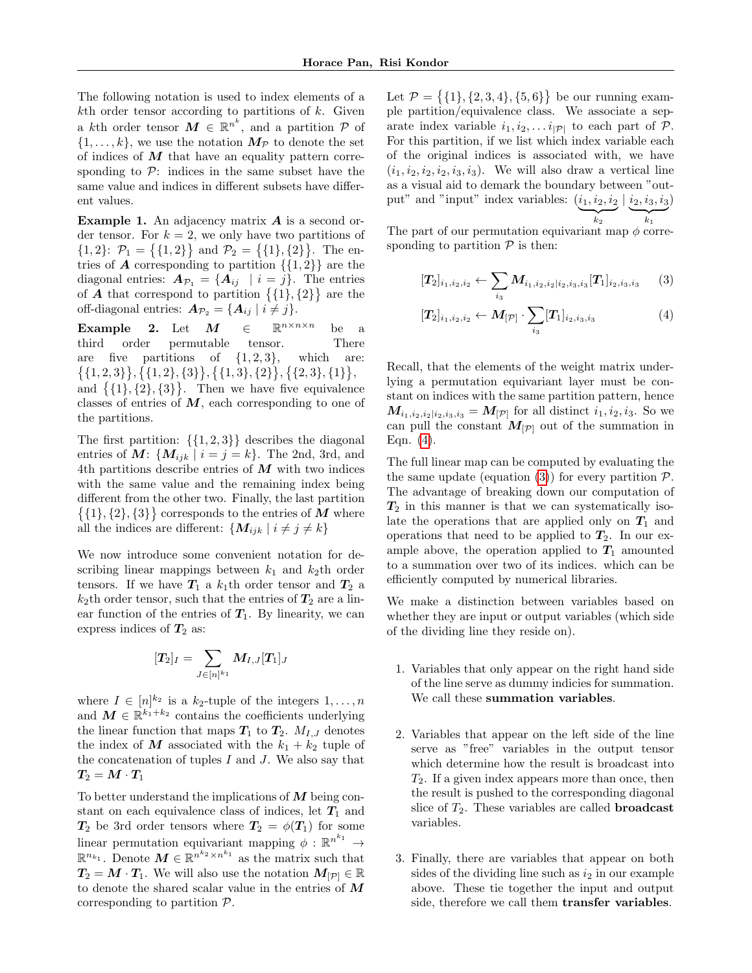The following notation is used to index elements of a  $k$ th order tensor according to partitions of  $k$ . Given a kth order tensor  $M \in \mathbb{R}^{n^k}$ , and a partition  $P$  of  $\{1, \ldots, k\}$ , we use the notation  $M_{\mathcal{P}}$  to denote the set of indices of  $M$  that have an equality pattern corresponding to  $\mathcal{P}$ : indices in the same subset have the same value and indices in different subsets have different values.

**Example 1.** An adjacency matrix  $\boldsymbol{A}$  is a second order tensor. For  $k = 2$ , we only have two partitions of  $\{1,2\}$ :  $\mathcal{P}_1 = \{\{1,2\}\}\$  and  $\mathcal{P}_2 = \{\{1\},\{2\}\}\$ . The entries of **A** corresponding to partition  $\{\{1, 2\}\}\$ are the diagonal entries:  $A_{\mathcal{P}_1} = \{A_{ij} \mid i = j\}$ . The entries of **A** that correspond to partition  $\{\{1\},\{2\}\}\$ are the off-diagonal entries:  $A_{\mathcal{P}_2} = \{A_{ij} | i \neq j\}.$ 

Example 2. Let  $M \in \mathbb{R}^{n \times n \times n}$ be a third order permutable tensor. There are five partitions of  $\{1, 2, 3\}$ , which are:  $\{\{1,2,3\}\}, \{\{1,2\},\{3\}\}, \{\{1,3\},\{2\}\}, \{\{2,3\},\{1\}\},\$ and  $\{\{1\},\{2\},\{3\}\}\$ . Then we have five equivalence

classes of entries of  $M$ , each corresponding to one of the partitions.

The first partition:  $\{\{1, 2, 3\}\}\)$  describes the diagonal entries of M:  $\{M_{ijk} | i = j = k\}$ . The 2nd, 3rd, and 4th partitions describe entries of  $M$  with two indices with the same value and the remaining index being different from the other two. Finally, the last partition  $\{\{1\},\{2\},\{3\}\}\)$  corresponds to the entries of M where all the indices are different:  $\{M_{ijk} | i \neq j \neq k\}$ 

We now introduce some convenient notation for describing linear mappings between  $k_1$  and  $k_2$ th order tensors. If we have  $T_1$  a  $k_1$ th order tensor and  $T_2$  a  $k_2$ th order tensor, such that the entries of  $T_2$  are a linear function of the entries of  $T_1$ . By linearity, we can express indices of  $T_2$  as:

$$
[\bm{T}_2]_I = \sum_{J \in [n]^{k_1}} \bm{M}_{I,J} [\bm{T}_1]_J
$$

where  $I \in [n]^{k_2}$  is a  $k_2$ -tuple of the integers  $1, \ldots, n$ and  $M \in \mathbb{R}^{k_1+k_2}$  contains the coefficients underlying the linear function that maps  $T_1$  to  $T_2$ .  $M_{I,J}$  denotes the index of M associated with the  $k_1 + k_2$  tuple of the concatenation of tuples  $I$  and  $J$ . We also say that  $\boldsymbol{T_2} = \boldsymbol{M} \cdot \boldsymbol{T_1}$ 

To better understand the implications of  $M$  being constant on each equivalence class of indices, let  $T_1$  and  $T_2$  be 3rd order tensors where  $T_2 = \phi(T_1)$  for some linear permutation equivariant mapping  $\phi : \mathbb{R}^{n^{k_1}} \to$  $\mathbb{R}^{n_{k_1}}$ . Denote  $M \in \mathbb{R}^{n^{k_2} \times n^{k_1}}$  as the matrix such that  $T_2 = M \cdot T_1$ . We will also use the notation  $M_{\lbrack\mathcal{P}\rbrack} \in \mathbb{R}$ to denote the shared scalar value in the entries of M corresponding to partition P.

Let  $\mathcal{P} = \{ \{1\}, \{2, 3, 4\}, \{5, 6\} \}$  be our running example partition/equivalence class. We associate a separate index variable  $i_1, i_2, \ldots i_{|\mathcal{P}|}$  to each part of  $\mathcal{P}$ . For this partition, if we list which index variable each of the original indices is associated with, we have  $(i_1, i_2, i_2, i_3, i_3)$ . We will also draw a vertical line as a visual aid to demark the boundary between "output" and "input" index variables:  $(i_1, i_2, i_2 | i_2, i_3, i_3)$  $\overline{\phantom{a}}_{k_2}$  $_{k_2}$  $\overline{\phantom{a}}_{k_1}$  $_{k_1}$ 

The part of our permutation equivariant map  $\phi$  corresponding to partition  $P$  is then:

<span id="page-4-1"></span>
$$
[\mathbf{T}_2]_{i_1,i_2,i_2} \leftarrow \sum_{i_3} \mathbf{M}_{i_1,i_2,i_2|i_2,i_3,i_3} [\mathbf{T}_1]_{i_2,i_3,i_3} \qquad (3)
$$

<span id="page-4-0"></span>
$$
[T_2]_{i_1,i_2,i_2} \leftarrow M_{[\mathcal{P}]} \cdot \sum_{i_3} [T_1]_{i_2,i_3,i_3} \tag{4}
$$

Recall, that the elements of the weight matrix underlying a permutation equivariant layer must be constant on indices with the same partition pattern, hence  $M_{i_1,i_2,i_2|i_2,i_3,i_3} = M_{[{\cal P}]}$  for all distinct  $i_1,i_2,i_3$ . So we can pull the constant  $M_{[\mathcal{P}]}$  out of the summation in Eqn. [\(4\)](#page-4-0).

The full linear map can be computed by evaluating the the same update (equation [\(3\)](#page-4-1)) for every partition  $P$ . The advantage of breaking down our computation of  $T_2$  in this manner is that we can systematically isolate the operations that are applied only on  $T_1$  and operations that need to be applied to  $T_2$ . In our example above, the operation applied to  $T_1$  amounted to a summation over two of its indices. which can be efficiently computed by numerical libraries.

We make a distinction between variables based on whether they are input or output variables (which side of the dividing line they reside on).

- 1. Variables that only appear on the right hand side of the line serve as dummy indicies for summation. We call these summation variables.
- 2. Variables that appear on the left side of the line serve as "free" variables in the output tensor which determine how the result is broadcast into  $T_2$ . If a given index appears more than once, then the result is pushed to the corresponding diagonal slice of  $T_2$ . These variables are called **broadcast** variables.
- 3. Finally, there are variables that appear on both sides of the dividing line such as  $i_2$  in our example above. These tie together the input and output side, therefore we call them transfer variables.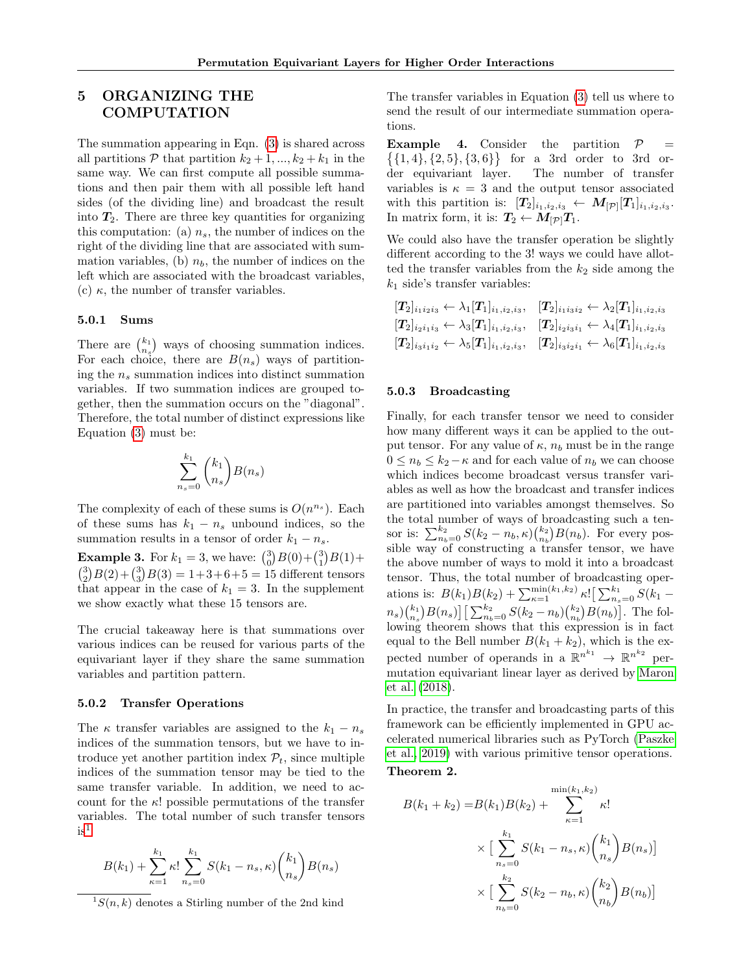# <span id="page-5-0"></span>5 ORGANIZING THE **COMPUTATION**

The summation appearing in Eqn. [\(3\)](#page-4-1) is shared across all partitions  $P$  that partition  $k_2 + 1, ..., k_2 + k_1$  in the same way. We can first compute all possible summations and then pair them with all possible left hand sides (of the dividing line) and broadcast the result into  $T_2$ . There are three key quantities for organizing this computation: (a)  $n_s$ , the number of indices on the right of the dividing line that are associated with summation variables, (b)  $n<sub>b</sub>$ , the number of indices on the left which are associated with the broadcast variables, (c)  $\kappa$ , the number of transfer variables.

#### 5.0.1 Sums

There are  $\binom{k_1}{n_s}$  ways of choosing summation indices. For each choice, there are  $B(n_s)$  ways of partitioning the  $n_s$  summation indices into distinct summation variables. If two summation indices are grouped together, then the summation occurs on the "diagonal". Therefore, the total number of distinct expressions like Equation [\(3\)](#page-4-1) must be:

$$
\sum_{n_s=0}^{k_1} \binom{k_1}{n_s} B(n_s)
$$

The complexity of each of these sums is  $O(n^{n_s})$ . Each of these sums has  $k_1 - n_s$  unbound indices, so the summation results in a tensor of order  $k_1 - n_s$ .

**Example 3.** For  $k_1 = 3$ , we have:  $\binom{3}{0}B(0) + \binom{3}{1}B(1) +$  $\binom{3}{2}B(2) + \binom{3}{3}B(3) = 1 + 3 + 6 + 5 = 15$  different tensors that appear in the case of  $k_1 = 3$ . In the supplement we show exactly what these 15 tensors are.

The crucial takeaway here is that summations over various indices can be reused for various parts of the equivariant layer if they share the same summation variables and partition pattern.

#### 5.0.2 Transfer Operations

The  $\kappa$  transfer variables are assigned to the  $k_1 - n_s$ indices of the summation tensors, but we have to introduce yet another partition index  $P_t$ , since multiple indices of the summation tensor may be tied to the same transfer variable. In addition, we need to account for the  $\kappa$ ! possible permutations of the transfer variables. The total number of such transfer tensors  $is^1$  $is^1$ 

$$
B(k_1) + \sum_{\kappa=1}^{k_1} \kappa! \sum_{n_s=0}^{k_1} S(k_1 - n_s, \kappa) \binom{k_1}{n_s} B(n_s)
$$

<span id="page-5-1"></span> ${}^{1}S(n, k)$  denotes a Stirling number of the 2nd kind

The transfer variables in Equation [\(3\)](#page-4-1) tell us where to send the result of our intermediate summation operations.

**Example 4.** Consider the partition  $P =$  $\{\{1,4\},\{2,5\},\{3,6\}\}\$ for a 3rd order to 3rd order equivariant layer. The number of transfer variables is  $\kappa = 3$  and the output tensor associated with this partition is:  $[T_2]_{i_1,i_2,i_3} \leftarrow M_{[\mathcal{P}]}[T_1]_{i_1,i_2,i_3}.$ In matrix form, it is:  $T_2 \leftarrow M_{\lbrack \mathcal{P} \rbrack} T_1$ .

We could also have the transfer operation be slightly different according to the 3! ways we could have allotted the transfer variables from the  $k_2$  side among the  $k_1$  side's transfer variables:

$$
[T_2]_{i_1i_2i_3} \leftarrow \lambda_1 [T_1]_{i_1,i_2,i_3}, \quad [T_2]_{i_1i_3i_2} \leftarrow \lambda_2 [T_1]_{i_1,i_2,i_3}
$$
  
\n
$$
[T_2]_{i_2i_1i_3} \leftarrow \lambda_3 [T_1]_{i_1,i_2,i_3}, \quad [T_2]_{i_2i_3i_1} \leftarrow \lambda_4 [T_1]_{i_1,i_2,i_3}
$$
  
\n
$$
[T_2]_{i_3i_1i_2} \leftarrow \lambda_5 [T_1]_{i_1,i_2,i_3}, \quad [T_2]_{i_3i_2i_1} \leftarrow \lambda_6 [T_1]_{i_1,i_2,i_3}
$$

#### 5.0.3 Broadcasting

Finally, for each transfer tensor we need to consider how many different ways it can be applied to the output tensor. For any value of  $\kappa$ ,  $n_b$  must be in the range  $0 \leq n_b \leq k_2 - \kappa$  and for each value of  $n_b$  we can choose which indices become broadcast versus transfer variables as well as how the broadcast and transfer indices are partitioned into variables amongst themselves. So the total number of ways of broadcasting such a tensor is:  $\sum_{n_b=0}^{k_2} S(k_2 - n_b, \kappa) \binom{k_2}{n_b} B(n_b)$ . For every possible way of constructing a transfer tensor, we have the above number of ways to mold it into a broadcast tensor. Thus, the total number of broadcasting operations is:  $B(k_1)B(k_2) + \sum_{\kappa=1}^{\min(k_1,k_2)} \kappa! \left[\sum_{n_s=0}^{k_1} S(k_1$  $n_s$ ,  $\binom{k_1}{n_s}B(n_s)$   $\left[\sum_{n_b=0}^{k_2} S(k_2-n_b)\binom{k_2}{n_b}B(n_b)\right]$ . The following theorem shows that this expression is in fact equal to the Bell number  $B(k_1 + k_2)$ , which is the expected number of operands in a  $\mathbb{R}^{n^{k_1}} \to \mathbb{R}^{n^{k_2}}$  permutation equivariant linear layer as derived by [Maron](#page-10-4) [et al.](#page-10-4) [\(2018\)](#page-10-4).

In practice, the transfer and broadcasting parts of this framework can be efficiently implemented in GPU accelerated numerical libraries such as PyTorch [\(Paszke](#page-10-12) [et al., 2019\)](#page-10-12) with various primitive tensor operations. Theorem 2.

<span id="page-5-2"></span>
$$
B(k_1 + k_2) = B(k_1)B(k_2) + \sum_{\kappa=1}^{\min(k_1, k_2)} \kappa!
$$
  
 
$$
\times \Big[ \sum_{n_s=0}^{k_1} S(k_1 - n_s, \kappa) {k_1 \choose n_s} B(n_s) \Big]
$$
  
 
$$
\times \Big[ \sum_{n_b=0}^{k_2} S(k_2 - n_b, \kappa) {k_2 \choose n_b} B(n_b) \Big]
$$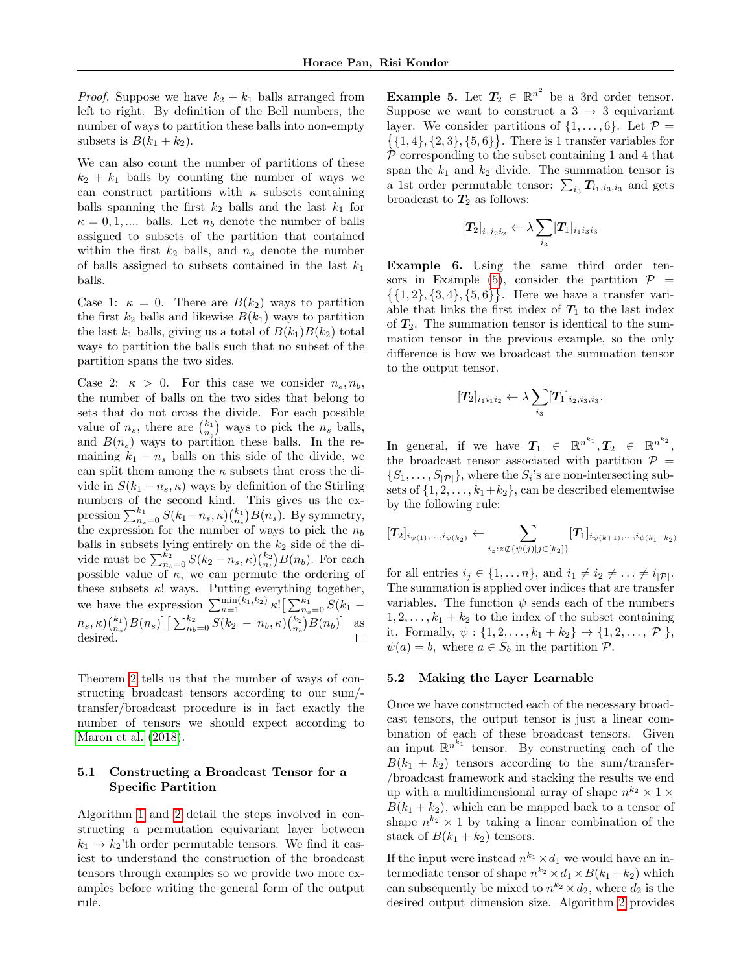*Proof.* Suppose we have  $k_2 + k_1$  balls arranged from left to right. By definition of the Bell numbers, the number of ways to partition these balls into non-empty subsets is  $B(k_1 + k_2)$ .

We can also count the number of partitions of these  $k_2 + k_1$  balls by counting the number of ways we can construct partitions with  $\kappa$  subsets containing balls spanning the first  $k_2$  balls and the last  $k_1$  for  $\kappa = 0, 1, \dots$  balls. Let  $n_b$  denote the number of balls assigned to subsets of the partition that contained within the first  $k_2$  balls, and  $n_s$  denote the number of balls assigned to subsets contained in the last  $k_1$ balls.

Case 1:  $\kappa = 0$ . There are  $B(k_2)$  ways to partition the first  $k_2$  balls and likewise  $B(k_1)$  ways to partition the last  $k_1$  balls, giving us a total of  $B(k_1)B(k_2)$  total ways to partition the balls such that no subset of the partition spans the two sides.

Case 2:  $\kappa > 0$ . For this case we consider  $n_s, n_b$ , the number of balls on the two sides that belong to sets that do not cross the divide. For each possible value of  $n_s$ , there are  $\binom{k_1}{n_s}$  ways to pick the  $n_s$  balls, and  $B(n_s)$  ways to partition these balls. In the remaining  $k_1 - n_s$  balls on this side of the divide, we can split them among the  $\kappa$  subsets that cross the divide in  $S(k_1 - n_s, \kappa)$  ways by definition of the Stirling numbers of the second kind. This gives us the expression  $\sum_{n_s=0}^{k_1} S(k_1-n_s,\kappa) \binom{k_1}{n_s} B(n_s)$ . By symmetry, the expression for the number of ways to pick the  $n_b$ balls in subsets lying entirely on the  $k_2$  side of the divide must be  $\sum_{n_b=0}^{k_2} S(k_2 - n_s, \kappa) \binom{k_2}{n_b} B(n_b)$ . For each possible value of  $\kappa$ , we can permute the ordering of these subsets  $\kappa$ ! ways. Putting everything together, we have the expression  $\sum_{\kappa=1}^{\min(k_1,k_2)} \kappa! \left[\sum_{n_s=0}^{k_1} S(k_1$  $n_s, \kappa) {k_1 \choose n_s} B(n_s) \big] \big[ \sum_{n_b=0}^{k_2} S(k_2 - n_b, \kappa) {k_2 \choose n_b} B(n_b) \big]$  as desired.

Theorem [2](#page-5-2) tells us that the number of ways of constructing broadcast tensors according to our sum/ transfer/broadcast procedure is in fact exactly the number of tensors we should expect according to [Maron et al.](#page-10-4) [\(2018\)](#page-10-4).

### <span id="page-6-1"></span>5.1 Constructing a Broadcast Tensor for a Specific Partition

Algorithm [1](#page-7-1) and [2](#page-7-2) detail the steps involved in constructing a permutation equivariant layer between  $k_1 \rightarrow k_2$ 'th order permutable tensors. We find it easiest to understand the construction of the broadcast tensors through examples so we provide two more examples before writing the general form of the output rule.

<span id="page-6-0"></span>**Example 5.** Let  $T_2 \in \mathbb{R}^{n^2}$  be a 3rd order tensor. Suppose we want to construct a  $3 \rightarrow 3$  equivariant layer. We consider partitions of  $\{1, \ldots, 6\}$ . Let  $\mathcal{P} =$  $\{\{1,4\},\{2,3\},\{5,6\}\}\.$  There is 1 transfer variables for  $P$  corresponding to the subset containing 1 and 4 that span the  $k_1$  and  $k_2$  divide. The summation tensor is a 1st order permutable tensor:  $\sum_{i_3} T_{i_1,i_3,i_3}$  and gets broadcast to  $T_2$  as follows:

$$
\left[T_2\right]_{i_1i_2i_2} \leftarrow \lambda \sum_{i_3} [T_1]_{i_1i_3i_3}
$$

Example 6. Using the same third order ten-sors in Example [\(5\)](#page-6-0), consider the partition  $\mathcal{P}$  =  $\{\{1,2\},\{3,4\},\{5,6\}\}\.$  Here we have a transfer variable that links the first index of  $T_1$  to the last index of  $T_2$ . The summation tensor is identical to the summation tensor in the previous example, so the only difference is how we broadcast the summation tensor to the output tensor.

$$
[T_2]_{i_1i_1i_2} \leftarrow \lambda \sum_{i_3} [T_1]_{i_2,i_3,i_3}.
$$

In general, if we have  $T_1 \in \mathbb{R}^{n^{k_1}}, T_2 \in \mathbb{R}^{n^{k_2}},$ the broadcast tensor associated with partition  $P =$  $\{S_1, \ldots, S_{|\mathcal{P}|}\}\$ , where the  $S_i$ 's are non-intersecting subsets of  $\{1, 2, \ldots, k_1+k_2\}$ , can be described elementwise by the following rule:

$$
[T_2]_{i_{\psi(1)},...,i_{\psi(k_2)}} \leftarrow \sum_{i_z:z \notin {\{\psi(j)|j\in [k_2]\}}} [T_1]_{i_{\psi(k+1)},...,i_{\psi(k_1+k_2)}}
$$

for all entries  $i_j \in \{1, \ldots n\}$ , and  $i_1 \neq i_2 \neq \ldots \neq i_{|\mathcal{P}|}$ . The summation is applied over indices that are transfer variables. The function  $\psi$  sends each of the numbers  $1, 2, \ldots, k_1 + k_2$  to the index of the subset containing it. Formally,  $\psi: \{1, 2, ..., k_1 + k_2\} \to \{1, 2, ..., |\mathcal{P}|\},$  $\psi(a) = b$ , where  $a \in S_b$  in the partition  $\mathcal{P}$ .

#### 5.2 Making the Layer Learnable

Once we have constructed each of the necessary broadcast tensors, the output tensor is just a linear combination of each of these broadcast tensors. Given an input  $\mathbb{R}^{n^{k_1}}$  tensor. By constructing each of the  $B(k_1 + k_2)$  tensors according to the sum/transfer-/broadcast framework and stacking the results we end up with a multidimensional array of shape  $n^{k_2} \times 1 \times$  $B(k_1 + k_2)$ , which can be mapped back to a tensor of shape  $n^{k_2} \times 1$  by taking a linear combination of the stack of  $B(k_1 + k_2)$  tensors.

If the input were instead  $n^{k_1} \times d_1$  we would have an intermediate tensor of shape  $n^{k_2} \times d_1 \times B(k_1 + k_2)$  which can subsequently be mixed to  $n^{k_2} \times d_2$ , where  $d_2$  is the desired output dimension size. Algorithm [2](#page-7-2) provides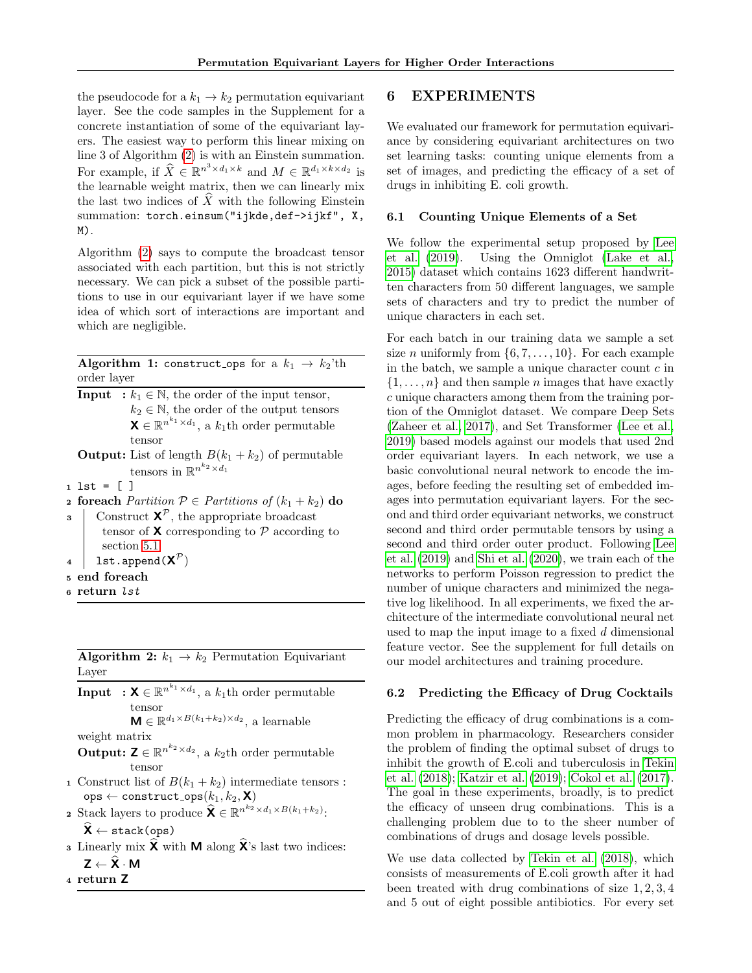the pseudocode for a  $k_1 \rightarrow k_2$  permutation equivariant layer. See the code samples in the Supplement for a concrete instantiation of some of the equivariant layers. The easiest way to perform this linear mixing on line 3 of Algorithm [\(2\)](#page-7-2) is with an Einstein summation. For example, if  $\widehat{X} \in \mathbb{R}^{n^3 \times d_1 \times k}$  and  $M \in \mathbb{R}^{d_1 \times k \times d_2}$  is the learnable weight matrix, then we can linearly mix the last two indices of  $\hat{X}$  with the following Einstein summation: torch.einsum("ijkde,def->ijkf", X, M).

Algorithm [\(2\)](#page-7-2) says to compute the broadcast tensor associated with each partition, but this is not strictly necessary. We can pick a subset of the possible partitions to use in our equivariant layer if we have some idea of which sort of interactions are important and which are negligible.

<span id="page-7-1"></span>Algorithm 1: construct ops for a  $k_1 \rightarrow k_2$ 'th order layer

**Input** :  $k_1 \in \mathbb{N}$ , the order of the input tensor,  $k_2 \in \mathbb{N}$ , the order of the output tensors  $\mathbf{X} \in \mathbb{R}^{n^{k_1} \times d_1}$ , a  $k_1$ th order permutable tensor

**Output:** List of length  $B(k_1 + k_2)$  of permutable tensors in  $\mathbb{R}^{n^{k_2} \times d_1}$ 

 $1 1st = []$ 

**2 foreach** Partition  $\mathcal{P} \in$  Partitions of  $(k_1 + k_2)$  do

- **3** Construct  $\mathbf{X}^{\mathcal{P}}$ , the appropriate broadcast tensor of  $\boldsymbol{\mathsf{X}}$  corresponding to  $\mathcal P$  according to section [5.1](#page-6-1)
- $_4$  | 1st.append( $\textsf{X}^\mathcal{P})$
- <sup>5</sup> end foreach
- <sup>6</sup> return lst

<span id="page-7-2"></span>**Algorithm 2:**  $k_1 \rightarrow k_2$  Permutation Equivariant Layer

 $\textbf{Input} \rightarrow \textbf{X} \in \mathbb{R}^{n^{k_1} \times d_1}$ , a  $k_1$ th order permutable tensor  $\mathbf{M} \in \mathbb{R}^{d_1 \times B(k_1+k_2) \times d_2}$ , a learnable

weight matrix

- **Output:**  $\mathbf{Z} \in \mathbb{R}^{n^{k_2} \times d_2}$ , a  $k_2$ th order permutable tensor
- 1 Construct list of  $B(k_1 + k_2)$  intermediate tensors :  $\mathtt{ops} \gets \mathtt{construct\_ops}(k_1, k_2, \mathbf{X})$
- 2 Stack layers to produce  $\widehat{\mathbf{X}} \in \mathbb{R}^{n^{k_2} \times d_1 \times B(k_1+k_2)}$ :  $\widehat{\mathsf{X}} \leftarrow \texttt{stack(ops)}$
- **3** Linearly mix  $\hat{\mathbf{X}}$  with **M** along  $\hat{\mathbf{X}}$ 's last two indices:  $Z \leftarrow \widehat{X} \cdot M$
- <sup>4</sup> return Z

## <span id="page-7-0"></span>6 EXPERIMENTS

We evaluated our framework for permutation equivariance by considering equivariant architectures on two set learning tasks: counting unique elements from a set of images, and predicting the efficacy of a set of drugs in inhibiting E. coli growth.

#### 6.1 Counting Unique Elements of a Set

We follow the experimental setup proposed by [Lee](#page-9-11) [et al.](#page-9-11) [\(2019\)](#page-9-11). Using the Omniglot [\(Lake et al.,](#page-9-20) [2015\)](#page-9-20) dataset which contains 1623 different handwritten characters from 50 different languages, we sample sets of characters and try to predict the number of unique characters in each set.

For each batch in our training data we sample a set size *n* uniformly from  $\{6, 7, \ldots, 10\}$ . For each example in the batch, we sample a unique character count  $c$  in  $\{1, \ldots, n\}$  and then sample *n* images that have exactly c unique characters among them from the training portion of the Omniglot dataset. We compare Deep Sets [\(Zaheer et al., 2017\)](#page-10-3), and Set Transformer [\(Lee et al.,](#page-9-11) [2019\)](#page-9-11) based models against our models that used 2nd order equivariant layers. In each network, we use a basic convolutional neural network to encode the images, before feeding the resulting set of embedded images into permutation equivariant layers. For the second and third order equivariant networks, we construct second and third order permutable tensors by using a second and third order outer product. Following [Lee](#page-9-11) [et al.](#page-9-11) [\(2019\)](#page-9-11) and [Shi et al.](#page-10-13) [\(2020\)](#page-10-13), we train each of the networks to perform Poisson regression to predict the number of unique characters and minimized the negative log likelihood. In all experiments, we fixed the architecture of the intermediate convolutional neural net used to map the input image to a fixed d dimensional feature vector. See the supplement for full details on our model architectures and training procedure.

#### 6.2 Predicting the Efficacy of Drug Cocktails

Predicting the efficacy of drug combinations is a common problem in pharmacology. Researchers consider the problem of finding the optimal subset of drugs to inhibit the growth of E.coli and tuberculosis in [Tekin](#page-10-10) [et al.](#page-10-10) [\(2018\)](#page-10-10); [Katzir et al.](#page-9-21) [\(2019\)](#page-9-21); [Cokol et al.](#page-9-22) [\(2017\)](#page-9-22). The goal in these experiments, broadly, is to predict the efficacy of unseen drug combinations. This is a challenging problem due to to the sheer number of combinations of drugs and dosage levels possible.

We use data collected by [Tekin et al.](#page-10-10) [\(2018\)](#page-10-10), which consists of measurements of E.coli growth after it had been treated with drug combinations of size 1, 2, 3, 4 and 5 out of eight possible antibiotics. For every set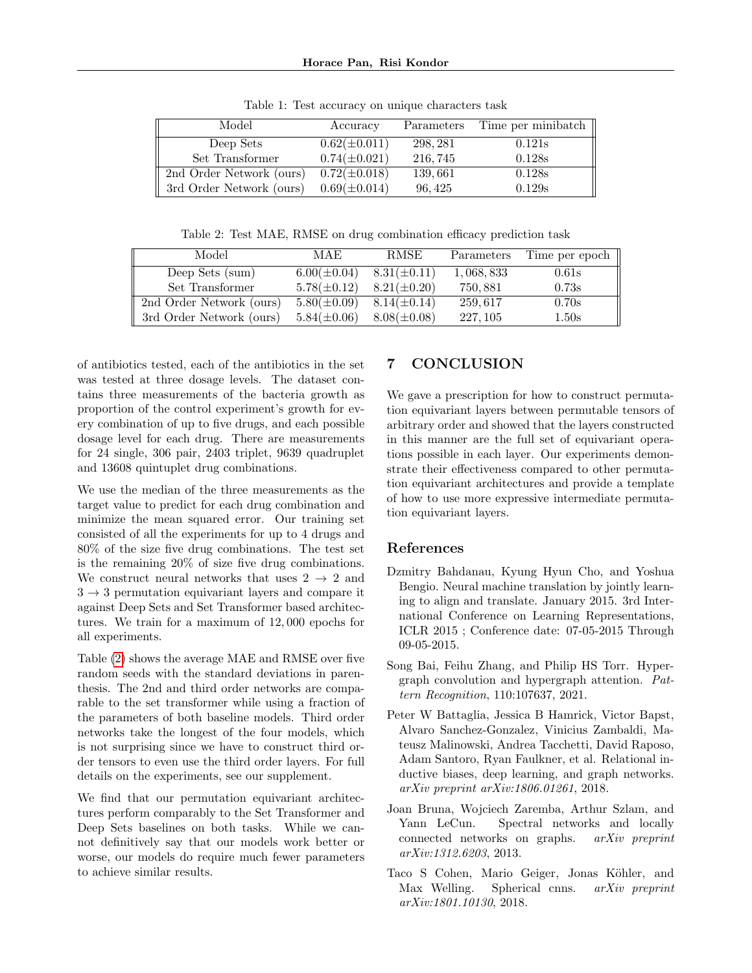| Model                    | Accuracy          | Parameters | Time per minibatch |
|--------------------------|-------------------|------------|--------------------|
| Deep Sets                | $0.62(\pm 0.011)$ | 298, 281   | 0.121s             |
| Set Transformer          | $0.74(\pm 0.021)$ | 216, 745   | 0.128s             |
| 2nd Order Network (ours) | $0.72(\pm 0.018)$ | 139,661    | 0.128s             |
| 3rd Order Network (ours) | $0.69(\pm 0.014)$ | 96, 425    | 0.129s             |

Table 1: Test accuracy on unique characters task

<span id="page-8-5"></span>Table 2: Test MAE, RMSE on drug combination efficacy prediction task

| Model                    | MAE              | RMSE             | Parameters | Time per epoch |
|--------------------------|------------------|------------------|------------|----------------|
| Deep Sets (sum)          | $6.00(\pm 0.04)$ | $8.31(\pm 0.11)$ | 1,068,833  | 0.61s          |
| Set Transformer          | $5.78(\pm 0.12)$ | $8.21(\pm 0.20)$ | 750,881    | 0.73s          |
| 2nd Order Network (ours) | $5.80(\pm 0.09)$ | $8.14(\pm 0.14)$ | 259,617    | 0.70s          |
| 3rd Order Network (ours) | $5.84(\pm 0.06)$ | $8.08(\pm 0.08)$ | 227, 105   | 1.50s          |

of antibiotics tested, each of the antibiotics in the set was tested at three dosage levels. The dataset contains three measurements of the bacteria growth as proportion of the control experiment's growth for every combination of up to five drugs, and each possible dosage level for each drug. There are measurements for 24 single, 306 pair, 2403 triplet, 9639 quadruplet and 13608 quintuplet drug combinations.

We use the median of the three measurements as the target value to predict for each drug combination and minimize the mean squared error. Our training set consisted of all the experiments for up to 4 drugs and 80% of the size five drug combinations. The test set is the remaining 20% of size five drug combinations. We construct neural networks that uses  $2 \rightarrow 2$  and  $3 \rightarrow 3$  permutation equivariant layers and compare it against Deep Sets and Set Transformer based architectures. We train for a maximum of 12, 000 epochs for all experiments.

Table [\(2\)](#page-8-5) shows the average MAE and RMSE over five random seeds with the standard deviations in parenthesis. The 2nd and third order networks are comparable to the set transformer while using a fraction of the parameters of both baseline models. Third order networks take the longest of the four models, which is not surprising since we have to construct third order tensors to even use the third order layers. For full details on the experiments, see our supplement.

We find that our permutation equivariant architectures perform comparably to the Set Transformer and Deep Sets baselines on both tasks. While we cannot definitively say that our models work better or worse, our models do require much fewer parameters to achieve similar results.

# 7 CONCLUSION

We gave a prescription for how to construct permutation equivariant layers between permutable tensors of arbitrary order and showed that the layers constructed in this manner are the full set of equivariant operations possible in each layer. Our experiments demonstrate their effectiveness compared to other permutation equivariant architectures and provide a template of how to use more expressive intermediate permutation equivariant layers.

# References

- <span id="page-8-4"></span>Dzmitry Bahdanau, Kyung Hyun Cho, and Yoshua Bengio. Neural machine translation by jointly learning to align and translate. January 2015. 3rd International Conference on Learning Representations, ICLR 2015 ; Conference date: 07-05-2015 Through 09-05-2015.
- <span id="page-8-3"></span>Song Bai, Feihu Zhang, and Philip HS Torr. Hypergraph convolution and hypergraph attention. Pattern Recognition, 110:107637, 2021.
- <span id="page-8-1"></span>Peter W Battaglia, Jessica B Hamrick, Victor Bapst, Alvaro Sanchez-Gonzalez, Vinicius Zambaldi, Mateusz Malinowski, Andrea Tacchetti, David Raposo, Adam Santoro, Ryan Faulkner, et al. Relational inductive biases, deep learning, and graph networks. arXiv preprint arXiv:1806.01261, 2018.
- <span id="page-8-2"></span>Joan Bruna, Wojciech Zaremba, Arthur Szlam, and Yann LeCun. Spectral networks and locally connected networks on graphs. arXiv preprint arXiv:1312.6203, 2013.
- <span id="page-8-0"></span>Taco S Cohen, Mario Geiger, Jonas Köhler, and Max Welling. Spherical cnns. *arXiv preprint* arXiv:1801.10130, 2018.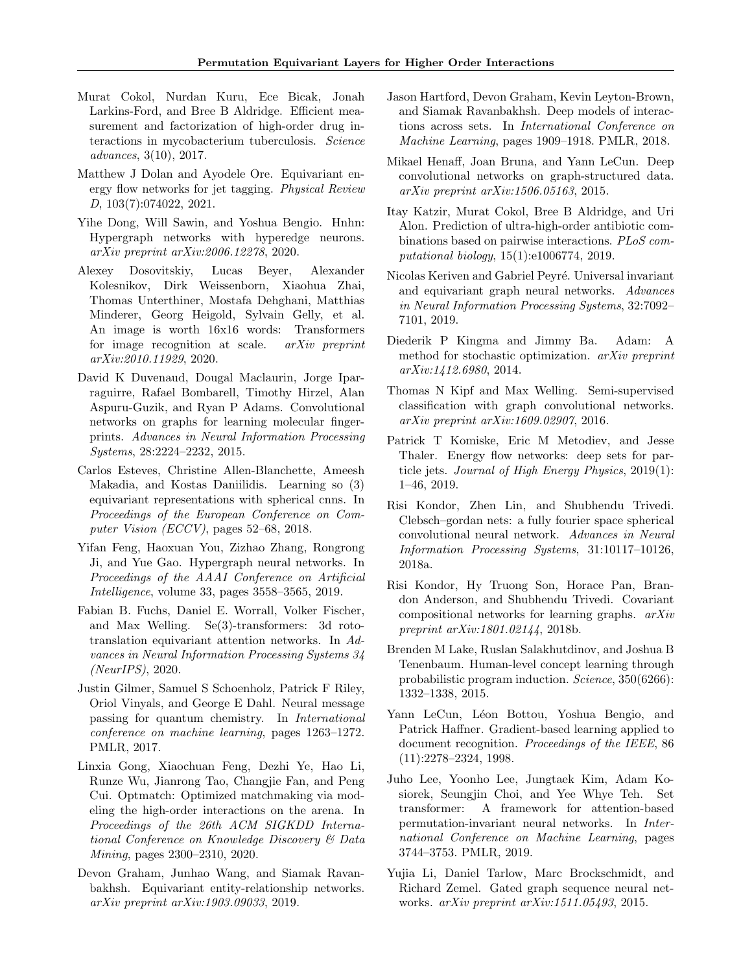- <span id="page-9-22"></span>Murat Cokol, Nurdan Kuru, Ece Bicak, Jonah Larkins-Ford, and Bree B Aldridge. Efficient measurement and factorization of high-order drug interactions in mycobacterium tuberculosis. Science advances, 3(10), 2017.
- <span id="page-9-17"></span>Matthew J Dolan and Ayodele Ore. Equivariant energy flow networks for jet tagging. Physical Review D, 103(7):074022, 2021.
- <span id="page-9-9"></span>Yihe Dong, Will Sawin, and Yoshua Bengio. Hnhn: Hypergraph networks with hyperedge neurons. arXiv preprint arXiv:2006.12278, 2020.
- <span id="page-9-13"></span>Alexey Dosovitskiy, Lucas Beyer, Alexander Kolesnikov, Dirk Weissenborn, Xiaohua Zhai, Thomas Unterthiner, Mostafa Dehghani, Matthias Minderer, Georg Heigold, Sylvain Gelly, et al. An image is worth 16x16 words: Transformers for image recognition at scale. arXiv preprint arXiv:2010.11929, 2020.
- <span id="page-9-5"></span>David K Duvenaud, Dougal Maclaurin, Jorge Iparraguirre, Rafael Bombarell, Timothy Hirzel, Alan Aspuru-Guzik, and Ryan P Adams. Convolutional networks on graphs for learning molecular fingerprints. Advances in Neural Information Processing Systems, 28:2224–2232, 2015.
- <span id="page-9-2"></span>Carlos Esteves, Christine Allen-Blanchette, Ameesh Makadia, and Kostas Daniilidis. Learning so (3) equivariant representations with spherical cnns. In Proceedings of the European Conference on Computer Vision (ECCV), pages 52–68, 2018.
- <span id="page-9-8"></span>Yifan Feng, Haoxuan You, Zizhao Zhang, Rongrong Ji, and Yue Gao. Hypergraph neural networks. In Proceedings of the AAAI Conference on Artificial Intelligence, volume 33, pages 3558–3565, 2019.
- <span id="page-9-12"></span>Fabian B. Fuchs, Daniel E. Worrall, Volker Fischer, and Max Welling. Se(3)-transformers: 3d rototranslation equivariant attention networks. In Advances in Neural Information Processing Systems 34 (NeurIPS), 2020.
- <span id="page-9-7"></span>Justin Gilmer, Samuel S Schoenholz, Patrick F Riley, Oriol Vinyals, and George E Dahl. Neural message passing for quantum chemistry. In International conference on machine learning, pages 1263–1272. PMLR, 2017.
- <span id="page-9-19"></span>Linxia Gong, Xiaochuan Feng, Dezhi Ye, Hao Li, Runze Wu, Jianrong Tao, Changjie Fan, and Peng Cui. Optmatch: Optimized matchmaking via modeling the high-order interactions on the arena. In Proceedings of the 26th ACM SIGKDD International Conference on Knowledge Discovery & Data Mining, pages 2300–2310, 2020.
- <span id="page-9-15"></span>Devon Graham, Junhao Wang, and Siamak Ravanbakhsh. Equivariant entity-relationship networks. arXiv preprint arXiv:1903.09033, 2019.
- <span id="page-9-14"></span>Jason Hartford, Devon Graham, Kevin Leyton-Brown, and Siamak Ravanbakhsh. Deep models of interactions across sets. In International Conference on Machine Learning, pages 1909–1918. PMLR, 2018.
- <span id="page-9-4"></span>Mikael Henaff, Joan Bruna, and Yann LeCun. Deep convolutional networks on graph-structured data. arXiv preprint arXiv:1506.05163, 2015.
- <span id="page-9-21"></span>Itay Katzir, Murat Cokol, Bree B Aldridge, and Uri Alon. Prediction of ultra-high-order antibiotic combinations based on pairwise interactions. PLoS computational biology, 15(1):e1006774, 2019.
- <span id="page-9-18"></span>Nicolas Keriven and Gabriel Peyré. Universal invariant and equivariant graph neural networks. Advances in Neural Information Processing Systems, 32:7092– 7101, 2019.
- <span id="page-9-23"></span>Diederik P Kingma and Jimmy Ba. Adam: A method for stochastic optimization. arXiv preprint arXiv:1412.6980, 2014.
- <span id="page-9-3"></span>Thomas N Kipf and Max Welling. Semi-supervised classification with graph convolutional networks. arXiv preprint arXiv:1609.02907, 2016.
- <span id="page-9-16"></span>Patrick T Komiske, Eric M Metodiev, and Jesse Thaler. Energy flow networks: deep sets for particle jets. Journal of High Energy Physics, 2019(1): 1–46, 2019.
- <span id="page-9-1"></span>Risi Kondor, Zhen Lin, and Shubhendu Trivedi. Clebsch–gordan nets: a fully fourier space spherical convolutional neural network. Advances in Neural Information Processing Systems, 31:10117–10126, 2018a.
- <span id="page-9-10"></span>Risi Kondor, Hy Truong Son, Horace Pan, Brandon Anderson, and Shubhendu Trivedi. Covariant compositional networks for learning graphs. arXiv preprint arXiv:1801.02144, 2018b.
- <span id="page-9-20"></span>Brenden M Lake, Ruslan Salakhutdinov, and Joshua B Tenenbaum. Human-level concept learning through probabilistic program induction. Science, 350(6266): 1332–1338, 2015.
- <span id="page-9-0"></span>Yann LeCun, Léon Bottou, Yoshua Bengio, and Patrick Haffner. Gradient-based learning applied to document recognition. Proceedings of the IEEE, 86 (11):2278–2324, 1998.
- <span id="page-9-11"></span>Juho Lee, Yoonho Lee, Jungtaek Kim, Adam Kosiorek, Seungjin Choi, and Yee Whye Teh. Set transformer: A framework for attention-based permutation-invariant neural networks. In International Conference on Machine Learning, pages 3744–3753. PMLR, 2019.
- <span id="page-9-6"></span>Yujia Li, Daniel Tarlow, Marc Brockschmidt, and Richard Zemel. Gated graph sequence neural networks. arXiv preprint arXiv:1511.05493, 2015.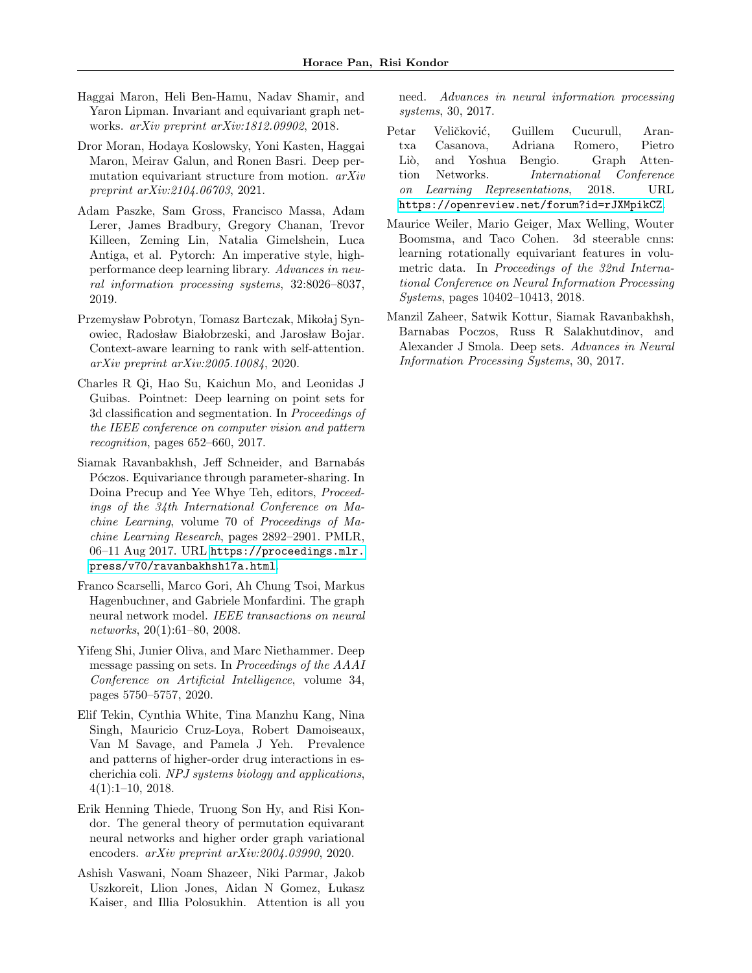- <span id="page-10-4"></span>Haggai Maron, Heli Ben-Hamu, Nadav Shamir, and Yaron Lipman. Invariant and equivariant graph networks. arXiv preprint arXiv:1812.09902, 2018.
- <span id="page-10-9"></span>Dror Moran, Hodaya Koslowsky, Yoni Kasten, Haggai Maron, Meirav Galun, and Ronen Basri. Deep permutation equivariant structure from motion. arXiv preprint arXiv:2104.06703, 2021.
- <span id="page-10-12"></span>Adam Paszke, Sam Gross, Francisco Massa, Adam Lerer, James Bradbury, Gregory Chanan, Trevor Killeen, Zeming Lin, Natalia Gimelshein, Luca Antiga, et al. Pytorch: An imperative style, highperformance deep learning library. Advances in neural information processing systems, 32:8026–8037, 2019.
- <span id="page-10-11"></span>Przemysław Pobrotyn, Tomasz Bartczak, Mikołaj Synowiec, Radosław Białobrzeski, and Jarosław Bojar. Context-aware learning to rank with self-attention. arXiv preprint arXiv:2005.10084, 2020.
- <span id="page-10-2"></span>Charles R Qi, Hao Su, Kaichun Mo, and Leonidas J Guibas. Pointnet: Deep learning on point sets for 3d classification and segmentation. In Proceedings of the IEEE conference on computer vision and pattern recognition, pages 652–660, 2017.
- <span id="page-10-8"></span>Siamak Ravanbakhsh, Jeff Schneider, and Barnabás Póczos. Equivariance through parameter-sharing. In Doina Precup and Yee Whye Teh, editors, Proceedings of the 34th International Conference on Machine Learning, volume 70 of Proceedings of Machine Learning Research, pages 2892–2901. PMLR, 06–11 Aug 2017. URL [https://proceedings.mlr.](https://proceedings.mlr.press/v70/ravanbakhsh17a.html) [press/v70/ravanbakhsh17a.html](https://proceedings.mlr.press/v70/ravanbakhsh17a.html).
- <span id="page-10-1"></span>Franco Scarselli, Marco Gori, Ah Chung Tsoi, Markus Hagenbuchner, and Gabriele Monfardini. The graph neural network model. IEEE transactions on neural networks, 20(1):61–80, 2008.
- <span id="page-10-13"></span>Yifeng Shi, Junier Oliva, and Marc Niethammer. Deep message passing on sets. In Proceedings of the AAAI Conference on Artificial Intelligence, volume 34, pages 5750–5757, 2020.
- <span id="page-10-10"></span>Elif Tekin, Cynthia White, Tina Manzhu Kang, Nina Singh, Mauricio Cruz-Loya, Robert Damoiseaux, Van M Savage, and Pamela J Yeh. Prevalence and patterns of higher-order drug interactions in escherichia coli. NPJ systems biology and applications, 4(1):1–10, 2018.
- <span id="page-10-6"></span>Erik Henning Thiede, Truong Son Hy, and Risi Kondor. The general theory of permutation equivarant neural networks and higher order graph variational encoders. arXiv preprint arXiv:2004.03990, 2020.
- <span id="page-10-5"></span>Ashish Vaswani, Noam Shazeer, Niki Parmar, Jakob Uszkoreit, Llion Jones, Aidan N Gomez, Lukasz Kaiser, and Illia Polosukhin. Attention is all you

need. Advances in neural information processing systems, 30, 2017.

- <span id="page-10-7"></span>Petar Veličković, Guillem Cucurull, Arantxa Casanova, Adriana Romero, Pietro Liò, and Yoshua Bengio. Graph Attention Networks. International Conference on Learning Representations, 2018. URL <https://openreview.net/forum?id=rJXMpikCZ>.
- <span id="page-10-0"></span>Maurice Weiler, Mario Geiger, Max Welling, Wouter Boomsma, and Taco Cohen. 3d steerable cnns: learning rotationally equivariant features in volumetric data. In Proceedings of the 32nd International Conference on Neural Information Processing Systems, pages 10402–10413, 2018.
- <span id="page-10-3"></span>Manzil Zaheer, Satwik Kottur, Siamak Ravanbakhsh, Barnabas Poczos, Russ R Salakhutdinov, and Alexander J Smola. Deep sets. Advances in Neural Information Processing Systems, 30, 2017.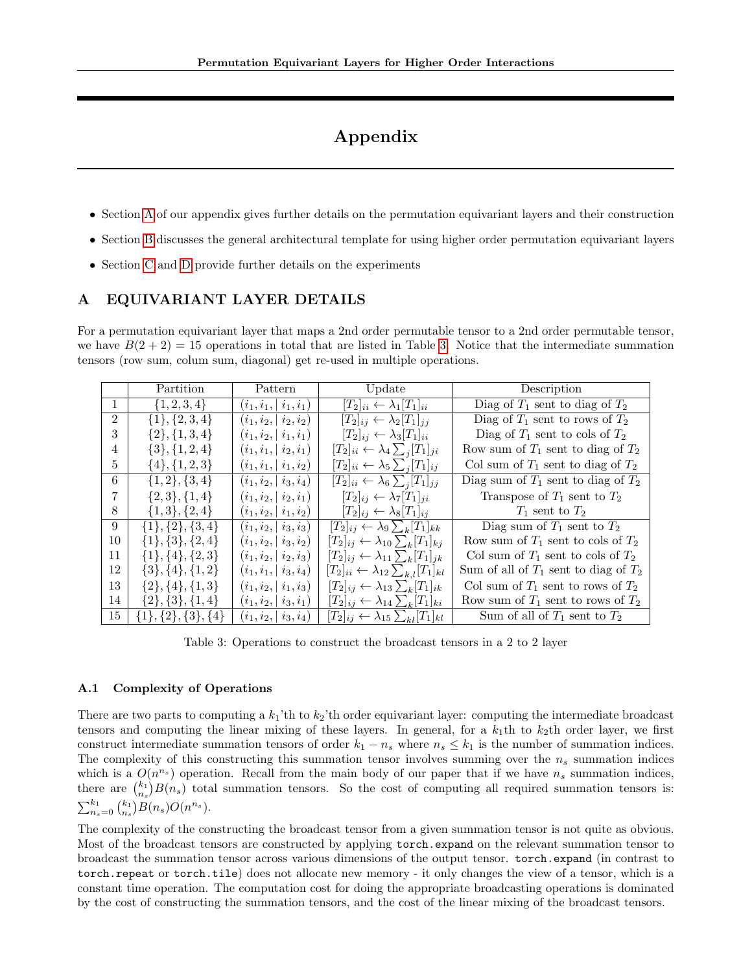# Appendix

- Section [A](#page-11-0) of our appendix gives further details on the permutation equivariant layers and their construction
- Section [B](#page-12-0) discusses the general architectural template for using higher order permutation equivariant layers
- Section [C](#page-13-0) and [D](#page-13-1) provide further details on the experiments

## <span id="page-11-0"></span>A EQUIVARIANT LAYER DETAILS

For a permutation equivariant layer that maps a 2nd order permutable tensor to a 2nd order permutable tensor, we have  $B(2 + 2) = 15$  operations in total that are listed in Table [3.](#page-11-1) Notice that the intermediate summation tensors (row sum, colum sum, diagonal) get re-used in multiple operations.

|                | Partition                    | Pattern                  | Update                                                     | Description                               |
|----------------|------------------------------|--------------------------|------------------------------------------------------------|-------------------------------------------|
|                | $\{1, 2, 3, 4\}$             | $(i_1,i_1,   i_1,i_1)$   | $[T_2]_{ii} \leftarrow \lambda_1 [T_1]_{ii}$               | Diag of $T_1$ sent to diag of $T_2$       |
| $\mathfrak{D}$ | $\{1\}, \{2,3,4\}$           | $(i_1, i_2,   i_2, i_2)$ | $[T_2]_{ij} \leftarrow \lambda_2 [T_1]_{ij}$               | Diag of $T_1$ sent to rows of $T_2$       |
| 3              | $\{2\}, \{1,3,4\}$           | $(i_1,i_2,   i_1,i_1)$   | $[T_2]_{ij} \leftarrow \lambda_3 [T_1]_{ii}$               | Diag of $T_1$ sent to cols of $T_2$       |
| 4              | $\{3\}, \{1,2,4\}$           | $(i_1,i_1,   i_2, i_1)$  | $[T_2]_{ii} \leftarrow \lambda_4 \sum_i [T_1]_{ji}$        | Row sum of $T_1$ sent to diag of $T_2$    |
| 5              | $\{4\}, \{1,2,3\}$           | $(i_1,i_1,   i_1,i_2)$   | $[T_2]_{ii} \leftarrow \lambda_5 \sum_i [T_1]_{ij}$        | Col sum of $T_1$ sent to diag of $T_2$    |
| 6              | $\{1,2\},\{3,4\}$            | $(i_1, i_2,   i_3, i_4)$ | $[T_2]_{ii} \leftarrow \lambda_6 \sum_i [T_1]_{jj}$        | Diag sum of $T_1$ sent to diag of $T_2$   |
| 7              | $\{2,3\}, \{1,4\}$           | $(i_1, i_2,   i_2, i_1)$ | $[T_2]_{ij} \leftarrow \lambda_7 [T_1]_{ji}$               | Transpose of $T_1$ sent to $T_2$          |
| 8              | $\{1,3\},\{2,4\}$            | $(i_1, i_2,   i_1, i_2)$ | $[T_2]_{ij} \leftarrow \lambda_8[T_1]_{ij}$                | $T_1$ sent to $T_2$                       |
| 9              | $\{1\}, \{2\}, \{3,4\}$      | $(i_1, i_2,   i_3, i_3)$ | $[T_2]_{ij} \leftarrow \lambda_9 \sum_k [T_1]_{kk}$        | Diag sum of $T_1$ sent to $T_2$           |
| 10             | $\{1\}, \{3\}, \{2,4\}$      | $(i_1,i_2,   i_3,i_2)$   | $[T_2]_{ij} \leftarrow \lambda_{10} \sum_k [T_1]_{kj}$     | Row sum of $T_1$ sent to cols of $T_2$    |
| 11             | $\{1\}, \{4\}, \{2,3\}$      | $(i_1, i_2,   i_2, i_3)$ | $[T_2]_{ij} \leftarrow \lambda_{11} \sum_k [T_1]_{jk}$     | Col sum of $T_1$ sent to cols of $T_2$    |
| 12             | $\{3\}, \{4\}, \{1,2\}$      | $(i_1,i_1,   i_3,i_4)$   | $[T_2]_{ii} \leftarrow \lambda_{12} \sum_{k,l} [T_1]_{kl}$ | Sum of all of $T_1$ sent to diag of $T_2$ |
| 13             | $\{2\}, \{4\}, \{1,3\}$      | $(i_1, i_2,   i_1, i_3)$ | $[T_2]_{ij} \leftarrow \lambda_{13} \sum_k [T_1]_{ik}$     | Col sum of $T_1$ sent to rows of $T_2$    |
| 14             | $\{2\}, \{3\}, \{1,4\}$      | $(i_1, i_2,   i_3, i_1)$ | $[T_2]_{ij} \leftarrow \lambda_{14} \sum_k [T_1]_{ki}$     | Row sum of $T_1$ sent to rows of $T_2$    |
| 15             | $\{1\}, \{2\}, \{3\}, \{4\}$ | $(i_1,i_2,   i_3,i_4)$   | $[T_2]_{ij} \leftarrow \lambda_{15} \sum_{kl} [T_1]_{kl}$  | Sum of all of $T_1$ sent to $T_2$         |

<span id="page-11-1"></span>Table 3: Operations to construct the broadcast tensors in a 2 to 2 layer

#### A.1 Complexity of Operations

There are two parts to computing a  $k_1$ 'th to  $k_2$ 'th order equivariant layer: computing the intermediate broadcast tensors and computing the linear mixing of these layers. In general, for a  $k_1$ th to  $k_2$ th order layer, we first construct intermediate summation tensors of order  $k_1 - n_s$  where  $n_s \leq k_1$  is the number of summation indices. The complexity of this constructing this summation tensor involves summing over the  $n_s$  summation indices which is a  $O(n^{n_s})$  operation. Recall from the main body of our paper that if we have  $n_s$  summation indices, there are  $\binom{k_1}{n_s}B(n_s)$  total summation tensors. So the cost of computing all required summation tensors is:  $\sum_{n_s=0}^{k_1} \binom{k_1}{n_s} B(n_s) O(n^{n_s}).$ 

The complexity of the constructing the broadcast tensor from a given summation tensor is not quite as obvious. Most of the broadcast tensors are constructed by applying torch.expand on the relevant summation tensor to broadcast the summation tensor across various dimensions of the output tensor. torch.expand (in contrast to torch.repeat or torch.tile) does not allocate new memory - it only changes the view of a tensor, which is a constant time operation. The computation cost for doing the appropriate broadcasting operations is dominated by the cost of constructing the summation tensors, and the cost of the linear mixing of the broadcast tensors.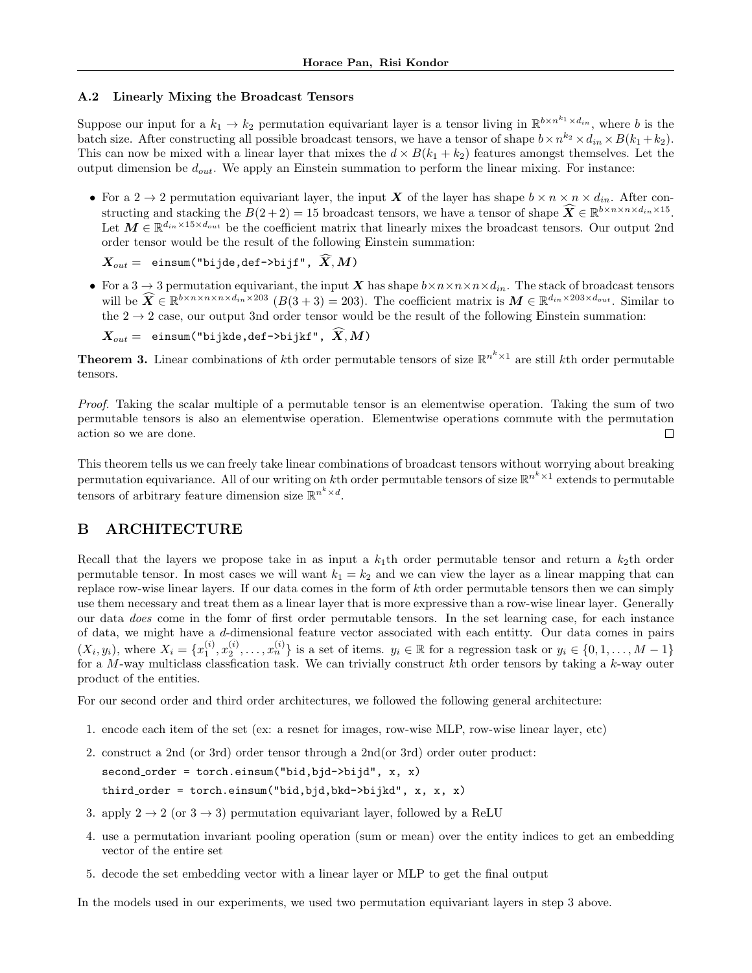#### A.2 Linearly Mixing the Broadcast Tensors

Suppose our input for a  $k_1 \to k_2$  permutation equivariant layer is a tensor living in  $\mathbb{R}^{b \times n^{k_1} \times d_{in}}$ , where b is the batch size. After constructing all possible broadcast tensors, we have a tensor of shape  $b \times n^{k_2} \times d_{in} \times B(k_1 + k_2)$ . This can now be mixed with a linear layer that mixes the  $d \times B(k_1 + k_2)$  features amongst themselves. Let the output dimension be  $d_{out}$ . We apply an Einstein summation to perform the linear mixing. For instance:

• For a 2  $\rightarrow$  2 permutation equivariant layer, the input X of the layer has shape  $b \times n \times n \times d_{in}$ . After constructing and stacking the  $B(2+2) = 15$  broadcast tensors, we have a tensor of shape  $\widehat{X} \in \mathbb{R}^{b \times n \times n \times d_{in} \times 15}$ . Let  $M \in \mathbb{R}^{d_{in} \times 15 \times d_{out}}$  be the coefficient matrix that linearly mixes the broadcast tensors. Our output 2nd order tensor would be the result of the following Einstein summation:

 $\boldsymbol{X_{out}} = \texttt{einsum("bijde, def->bijf", }\ \widehat{\boldsymbol{X}},\boldsymbol{M})$ 

• For a 3  $\rightarrow$  3 permutation equivariant, the input X has shape  $b \times n \times n \times d_{in}$ . The stack of broadcast tensors will be  $\widehat{X} \in \mathbb{R}^{b \times n \times n \times n \times d_{in} \times 203}$  ( $B(3+3) = 203$ ). The coefficient matrix is  $M \in \mathbb{R}^{d_{in} \times 203 \times d_{out}}$ . Similar to the  $2 \rightarrow 2$  case, our output 3nd order tensor would be the result of the following Einstein summation:

 $\boldsymbol{X_{out}} = \texttt{ einsum("bijkde, def->bijkf", } \boldsymbol{\widehat{X}}, \boldsymbol{M})$ 

**Theorem 3.** Linear combinations of kth order permutable tensors of size  $\mathbb{R}^{n^k \times 1}$  are still kth order permutable tensors.

Proof. Taking the scalar multiple of a permutable tensor is an elementwise operation. Taking the sum of two permutable tensors is also an elementwise operation. Elementwise operations commute with the permutation action so we are done.  $\Box$ 

This theorem tells us we can freely take linear combinations of broadcast tensors without worrying about breaking permutation equivariance. All of our writing on kth order permutable tensors of size  $\mathbb{R}^{n^k \times 1}$  extends to permutable tensors of arbitrary feature dimension size  $\mathbb{R}^{n^k \times d}$ .

# <span id="page-12-0"></span>B ARCHITECTURE

Recall that the layers we propose take in as input a  $k_1$ th order permutable tensor and return a  $k_2$ th order permutable tensor. In most cases we will want  $k_1 = k_2$  and we can view the layer as a linear mapping that can replace row-wise linear layers. If our data comes in the form of kth order permutable tensors then we can simply use them necessary and treat them as a linear layer that is more expressive than a row-wise linear layer. Generally our data does come in the fomr of first order permutable tensors. In the set learning case, for each instance of data, we might have a d-dimensional feature vector associated with each entitty. Our data comes in pairs  $(X_i, y_i)$ , where  $X_i = \{x_1^{(i)}, x_2^{(i)}, \ldots, x_n^{(i)}\}$  is a set of items.  $y_i \in \mathbb{R}$  for a regression task or  $y_i \in \{0, 1, \ldots, M-1\}$ for a M-way multiclass classfication task. We can trivially construct kth order tensors by taking a k-way outer product of the entities.

For our second order and third order architectures, we followed the following general architecture:

- 1. encode each item of the set (ex: a resnet for images, row-wise MLP, row-wise linear layer, etc)
- 2. construct a 2nd (or 3rd) order tensor through a 2nd(or 3rd) order outer product: second order = torch.einsum("bid,bjd->bijd", x, x) third order = torch.einsum("bid,bjd,bkd->bijkd", x, x, x)
- 3. apply  $2 \rightarrow 2$  (or  $3 \rightarrow 3$ ) permutation equivariant layer, followed by a ReLU
- 4. use a permutation invariant pooling operation (sum or mean) over the entity indices to get an embedding vector of the entire set
- 5. decode the set embedding vector with a linear layer or MLP to get the final output

In the models used in our experiments, we used two permutation equivariant layers in step 3 above.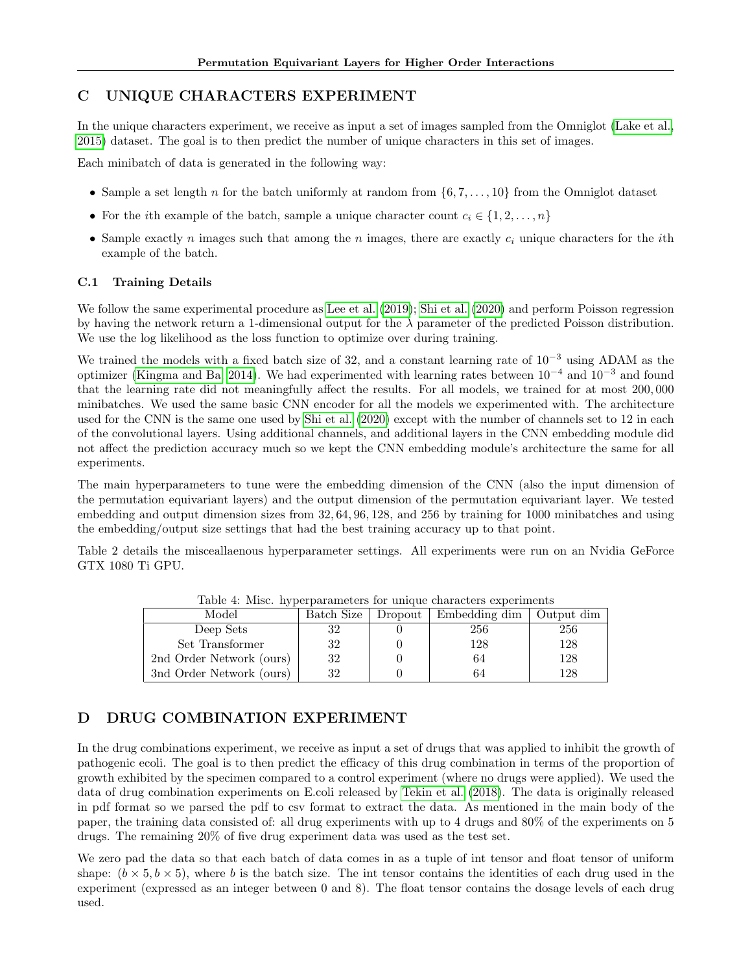# <span id="page-13-0"></span>C UNIQUE CHARACTERS EXPERIMENT

In the unique characters experiment, we receive as input a set of images sampled from the Omniglot [\(Lake et al.,](#page-9-20) [2015\)](#page-9-20) dataset. The goal is to then predict the number of unique characters in this set of images.

Each minibatch of data is generated in the following way:

- Sample a set length n for the batch uniformly at random from  $\{6, 7, \ldots, 10\}$  from the Omniglot dataset
- For the *i*th example of the batch, sample a unique character count  $c_i \in \{1, 2, ..., n\}$
- Sample exactly n images such that among the n images, there are exactly  $c_i$  unique characters for the *i*th example of the batch.

## C.1 Training Details

We follow the same experimental procedure as [Lee et al.](#page-9-11) [\(2019\)](#page-9-11); [Shi et al.](#page-10-13) [\(2020\)](#page-10-13) and perform Poisson regression by having the network return a 1-dimensional output for the  $\lambda$  parameter of the predicted Poisson distribution. We use the log likelihood as the loss function to optimize over during training.

We trained the models with a fixed batch size of 32, and a constant learning rate of  $10^{-3}$  using ADAM as the optimizer [\(Kingma and Ba, 2014\)](#page-9-23). We had experimented with learning rates between 10<sup>−</sup><sup>4</sup> and 10<sup>−</sup><sup>3</sup> and found that the learning rate did not meaningfully affect the results. For all models, we trained for at most 200, 000 minibatches. We used the same basic CNN encoder for all the models we experimented with. The architecture used for the CNN is the same one used by [Shi et al.](#page-10-13) [\(2020\)](#page-10-13) except with the number of channels set to 12 in each of the convolutional layers. Using additional channels, and additional layers in the CNN embedding module did not affect the prediction accuracy much so we kept the CNN embedding module's architecture the same for all experiments.

The main hyperparameters to tune were the embedding dimension of the CNN (also the input dimension of the permutation equivariant layers) and the output dimension of the permutation equivariant layer. We tested embedding and output dimension sizes from 32, 64, 96, 128, and 256 by training for 1000 minibatches and using the embedding/output size settings that had the best training accuracy up to that point.

Table 2 details the misceallaenous hyperparameter settings. All experiments were run on an Nvidia GeForce GTX 1080 Ti GPU.

| Model                    | Batch Size | Dropout | Embedding dim | Output dim |
|--------------------------|------------|---------|---------------|------------|
| Deep Sets                | 32         |         | 256           | 256        |
| Set Transformer          | 32         |         | 128           | 128        |
| 2nd Order Network (ours) | 32         |         | 64            | 128        |
| 3nd Order Network (ours) | 32         |         | 64            | 128        |

Table 4: Misc. hyperparameters for unique characters experiments

# <span id="page-13-1"></span>D DRUG COMBINATION EXPERIMENT

In the drug combinations experiment, we receive as input a set of drugs that was applied to inhibit the growth of pathogenic ecoli. The goal is to then predict the efficacy of this drug combination in terms of the proportion of growth exhibited by the specimen compared to a control experiment (where no drugs were applied). We used the data of drug combination experiments on E.coli released by [Tekin et al.](#page-10-10) [\(2018\)](#page-10-10). The data is originally released in pdf format so we parsed the pdf to csv format to extract the data. As mentioned in the main body of the paper, the training data consisted of: all drug experiments with up to 4 drugs and 80% of the experiments on 5 drugs. The remaining 20% of five drug experiment data was used as the test set.

We zero pad the data so that each batch of data comes in as a tuple of int tensor and float tensor of uniform shape:  $(b \times 5, b \times 5)$ , where b is the batch size. The int tensor contains the identities of each drug used in the experiment (expressed as an integer between 0 and 8). The float tensor contains the dosage levels of each drug used.